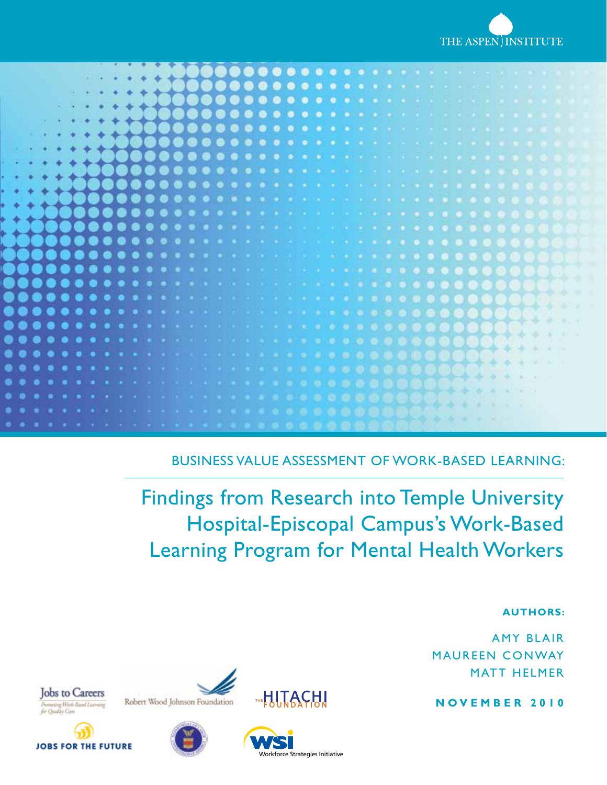



Business Value Assessment of Work-Based Learning:

Findings from Research into Temple University Hospital-Episcopal Campus's Work-Based Learning Program for Mental Health Workers

#### **Authors:**

**AMY BLAIR** MAUREEN CONWAY **MATT HELMER** 

**N o v e m b e r 2 0 1 0**







Robert Wood Johnson Foundation



**THE HITACH!**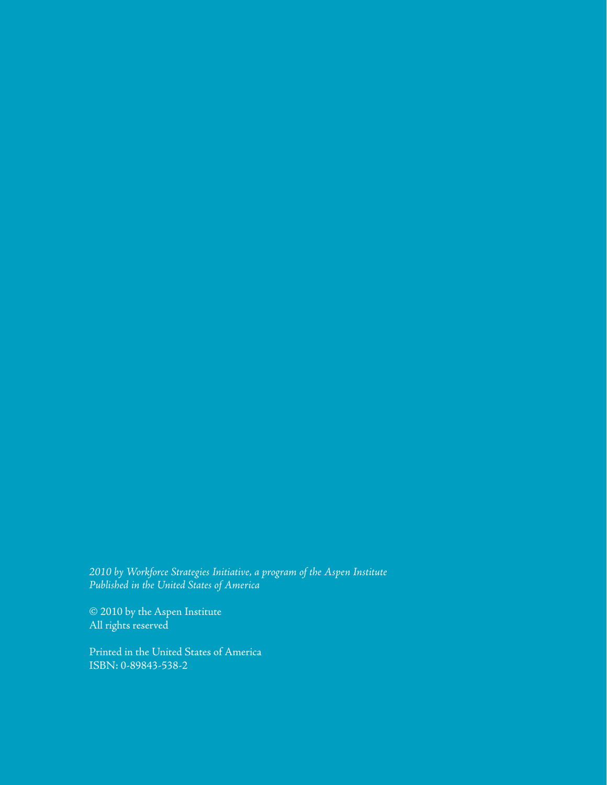*2010 by Workforce Strategies Initiative, a program of the Aspen Institute Published in the United States of America*

© 2010 by the Aspen Institute All rights reserved

Printed in the United States of America ISBN: 0-89843-538-2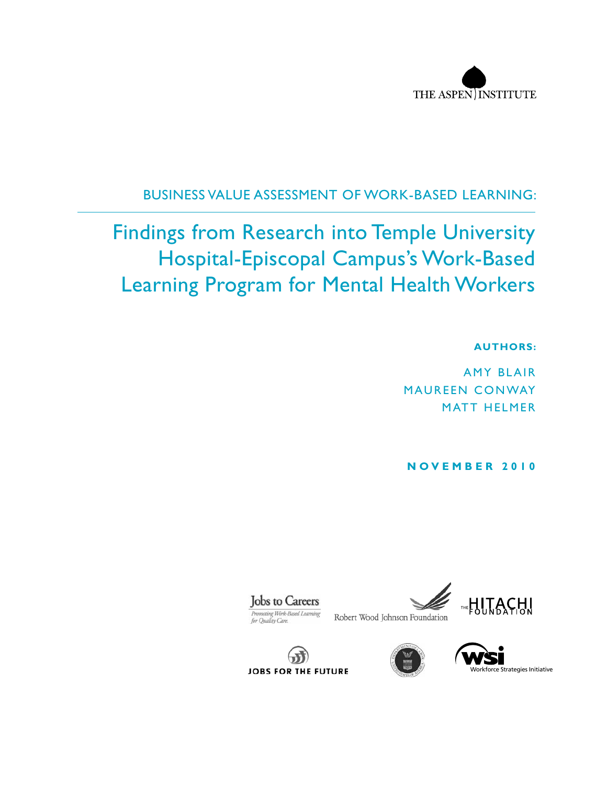

## Business Value Assessment of Work-Based Learning:

# Findings from Research into Temple University Hospital-Episcopal Campus's Work-Based Learning Program for Mental Health Workers

#### **Authors:**

**AMY BLAIR** MAUREEN CONWAY **MATT HELMER** 

**N o v e m b e r 2 0 1 0**







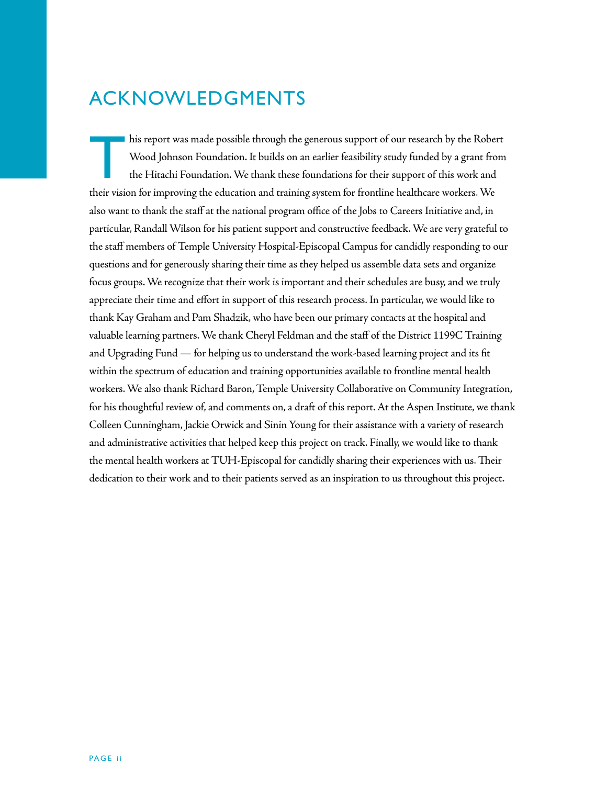## Acknowledgments

This report was made possible through the generous support of our research by the Robert<br>Wood Johnson Foundation. It builds on an earlier feasibility study funded by a grant from<br>the Hitachi Foundation. We thank these foun Wood Johnson Foundation. It builds on an earlier feasibility study funded by a grant from the Hitachi Foundation. We thank these foundations for their support of this work and their vision for improving the education and training system for frontline healthcare workers. We also want to thank the staff at the national program office of the Jobs to Careers Initiative and, in particular, Randall Wilson for his patient support and constructive feedback. We are very grateful to the staff members of Temple University Hospital-Episcopal Campus for candidly responding to our questions and for generously sharing their time as they helped us assemble data sets and organize focus groups. We recognize that their work is important and their schedules are busy, and we truly appreciate their time and effort in support of this research process. In particular, we would like to thank Kay Graham and Pam Shadzik, who have been our primary contacts at the hospital and valuable learning partners. We thank Cheryl Feldman and the staff of the District 1199C Training and Upgrading Fund — for helping us to understand the work-based learning project and its fit within the spectrum of education and training opportunities available to frontline mental health workers. We also thank Richard Baron, Temple University Collaborative on Community Integration, for his thoughtful review of, and comments on, a draft of this report. At the Aspen Institute, we thank Colleen Cunningham, Jackie Orwick and Sinin Young for their assistance with a variety of research and administrative activities that helped keep this project on track. Finally, we would like to thank the mental health workers at TUH-Episcopal for candidly sharing their experiences with us. Their dedication to their work and to their patients served as an inspiration to us throughout this project.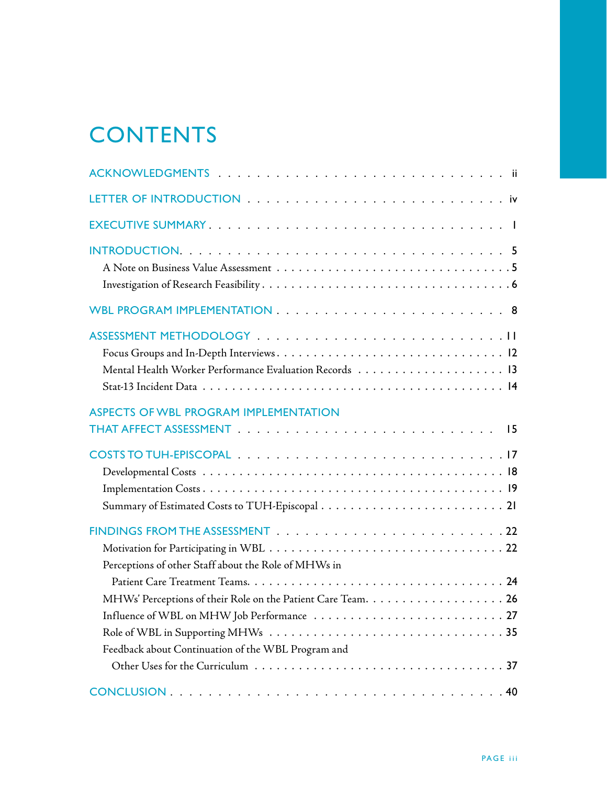# **CONTENTS**

| <b>ASPECTS OF WBL PROGRAM IMPLEMENTATION</b>         |
|------------------------------------------------------|
|                                                      |
|                                                      |
|                                                      |
|                                                      |
|                                                      |
|                                                      |
|                                                      |
| Perceptions of other Staff about the Role of MHWs in |
|                                                      |
|                                                      |
|                                                      |
|                                                      |
| Feedback about Continuation of the WBL Program and   |
|                                                      |
|                                                      |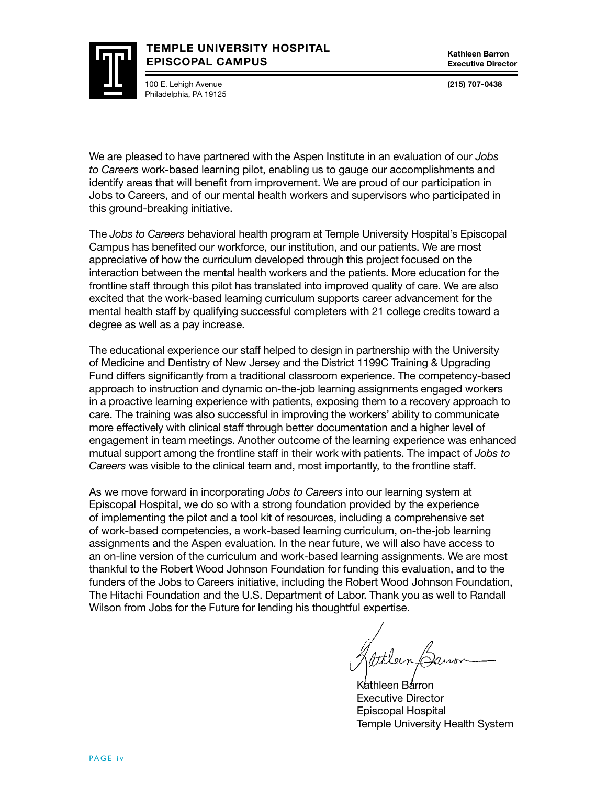#### **TEMPLE UNIVERSITY HOSPITAL EPISCOPAL CAMPUS**

100 E. Lehigh Avenue Philadelphia, PA 19125 **Kathleen Barron Executive Director**

**(215) 707-0438**

We are pleased to have partnered with the Aspen Institute in an evaluation of our *Jobs to Careers* work-based learning pilot, enabling us to gauge our accomplishments and identify areas that will benefit from improvement. We are proud of our participation in Jobs to Careers, and of our mental health workers and supervisors who participated in this ground-breaking initiative.

The *Jobs to Careers* behavioral health program at Temple University Hospital's Episcopal Campus has benefited our workforce, our institution, and our patients. We are most appreciative of how the curriculum developed through this project focused on the interaction between the mental health workers and the patients. More education for the frontline staff through this pilot has translated into improved quality of care. We are also excited that the work-based learning curriculum supports career advancement for the mental health staff by qualifying successful completers with 21 college credits toward a degree as well as a pay increase.

The educational experience our staff helped to design in partnership with the University of Medicine and Dentistry of New Jersey and the District 1199C Training & Upgrading Fund differs significantly from a traditional classroom experience. The competency-based approach to instruction and dynamic on-the-job learning assignments engaged workers in a proactive learning experience with patients, exposing them to a recovery approach to care. The training was also successful in improving the workers' ability to communicate more effectively with clinical staff through better documentation and a higher level of engagement in team meetings. Another outcome of the learning experience was enhanced mutual support among the frontline staff in their work with patients. The impact of *Jobs to Careers* was visible to the clinical team and, most importantly, to the frontline staff.

As we move forward in incorporating *Jobs to Careers* into our learning system at Episcopal Hospital, we do so with a strong foundation provided by the experience of implementing the pilot and a tool kit of resources, including a comprehensive set of work-based competencies, a work-based learning curriculum, on-the-job learning assignments and the Aspen evaluation. In the near future, we will also have access to an on-line version of the curriculum and work-based learning assignments. We are most thankful to the Robert Wood Johnson Foundation for funding this evaluation, and to the funders of the Jobs to Careers initiative, including the Robert Wood Johnson Foundation, The Hitachi Foundation and the U.S. Department of Labor. Thank you as well to Randall Wilson from Jobs for the Future for lending his thoughtful expertise.

Kathleen Barron Executive Director Episcopal Hospital Temple University Health System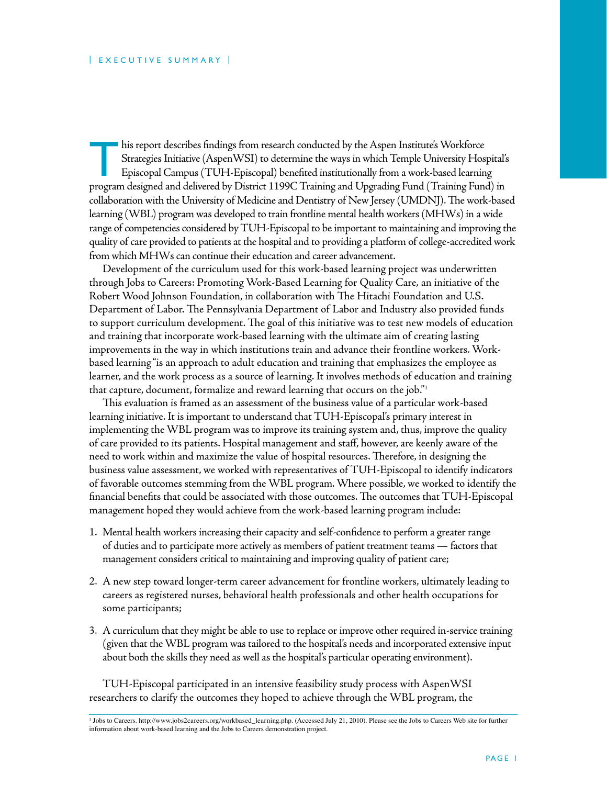his report describes findings from research conducted by the Aspen Institute's Workforce<br>Strategies Initiative (AspenWSI) to determine the ways in which Temple University Hos<br>Episcopal Campus (TUH-Episcopal) benefited inst Strategies Initiative (AspenWSI) to determine the ways in which Temple University Hospital's Episcopal Campus (TUH-Episcopal) benefited institutionally from a work-based learning program designed and delivered by District 1199C Training and Upgrading Fund (Training Fund) in collaboration with the University of Medicine and Dentistry of New Jersey (UMDNJ). The work-based learning (WBL) program was developed to train frontline mental health workers (MHWs) in a wide range of competencies considered by TUH-Episcopal to be important to maintaining and improving the quality of care provided to patients at the hospital and to providing a platform of college-accredited work from which MHWs can continue their education and career advancement.

Development of the curriculum used for this work-based learning project was underwritten through Jobs to Careers: Promoting Work-Based Learning for Quality Care, an initiative of the Robert Wood Johnson Foundation, in collaboration with The Hitachi Foundation and U.S. Department of Labor. The Pennsylvania Department of Labor and Industry also provided funds to support curriculum development. The goal of this initiative was to test new models of education and training that incorporate work-based learning with the ultimate aim of creating lasting improvements in the way in which institutions train and advance their frontline workers. Workbased learning "is an approach to adult education and training that emphasizes the employee as learner, and the work process as a source of learning. It involves methods of education and training that capture, document, formalize and reward learning that occurs on the job."1

This evaluation is framed as an assessment of the business value of a particular work-based learning initiative. It is important to understand that TUH-Episcopal's primary interest in implementing the WBL program was to improve its training system and, thus, improve the quality of care provided to its patients. Hospital management and staff, however, are keenly aware of the need to work within and maximize the value of hospital resources. Therefore, in designing the business value assessment, we worked with representatives of TUH-Episcopal to identify indicators of favorable outcomes stemming from the WBL program. Where possible, we worked to identify the financial benefits that could be associated with those outcomes. The outcomes that TUH-Episcopal management hoped they would achieve from the work-based learning program include:

- 1. Mental health workers increasing their capacity and self-confidence to perform a greater range of duties and to participate more actively as members of patient treatment teams — factors that management considers critical to maintaining and improving quality of patient care;
- 2. A new step toward longer-term career advancement for frontline workers, ultimately leading to careers as registered nurses, behavioral health professionals and other health occupations for some participants;
- 3. A curriculum that they might be able to use to replace or improve other required in-service training (given that the WBL program was tailored to the hospital's needs and incorporated extensive input about both the skills they need as well as the hospital's particular operating environment).

TUH-Episcopal participated in an intensive feasibility study process with AspenWSI researchers to clarify the outcomes they hoped to achieve through the WBL program, the

<sup>1</sup> Jobs to Careers. http://www.jobs2careers.org/workbased\_learning.php. (Accessed July 21, 2010). Please see the Jobs to Careers Web site for further information about work-based learning and the Jobs to Careers demonstration project.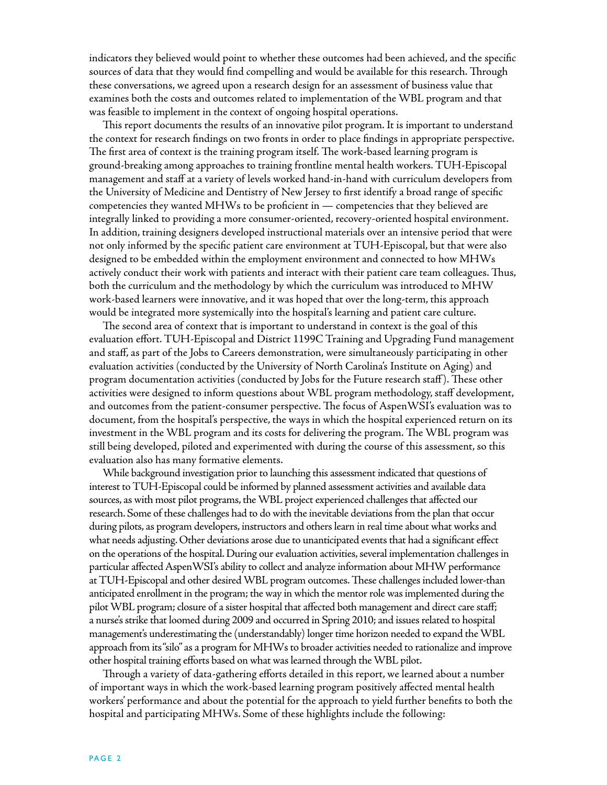indicators they believed would point to whether these outcomes had been achieved, and the specific sources of data that they would find compelling and would be available for this research. Through these conversations, we agreed upon a research design for an assessment of business value that examines both the costs and outcomes related to implementation of the WBL program and that was feasible to implement in the context of ongoing hospital operations.

This report documents the results of an innovative pilot program. It is important to understand the context for research findings on two fronts in order to place findings in appropriate perspective. The first area of context is the training program itself. The work-based learning program is ground-breaking among approaches to training frontline mental health workers. TUH-Episcopal management and staff at a variety of levels worked hand-in-hand with curriculum developers from the University of Medicine and Dentistry of New Jersey to first identify a broad range of specific competencies they wanted MHWs to be proficient in — competencies that they believed are integrally linked to providing a more consumer-oriented, recovery-oriented hospital environment. In addition, training designers developed instructional materials over an intensive period that were not only informed by the specific patient care environment at TUH-Episcopal, but that were also designed to be embedded within the employment environment and connected to how MHWs actively conduct their work with patients and interact with their patient care team colleagues. Thus, both the curriculum and the methodology by which the curriculum was introduced to MHW work-based learners were innovative, and it was hoped that over the long-term, this approach would be integrated more systemically into the hospital's learning and patient care culture.

The second area of context that is important to understand in context is the goal of this evaluation effort. TUH-Episcopal and District 1199C Training and Upgrading Fund management and staff, as part of the Jobs to Careers demonstration, were simultaneously participating in other evaluation activities (conducted by the University of North Carolina's Institute on Aging) and program documentation activities (conducted by Jobs for the Future research staff ). These other activities were designed to inform questions about WBL program methodology, staff development, and outcomes from the patient-consumer perspective. The focus of AspenWSI's evaluation was to document, from the hospital's perspective, the ways in which the hospital experienced return on its investment in the WBL program and its costs for delivering the program. The WBL program was still being developed, piloted and experimented with during the course of this assessment, so this evaluation also has many formative elements.

While background investigation prior to launching this assessment indicated that questions of interest to TUH-Episcopal could be informed by planned assessment activities and available data sources, as with most pilot programs, the WBL project experienced challenges that affected our research. Some of these challenges had to do with the inevitable deviations from the plan that occur during pilots, as program developers, instructors and others learn in real time about what works and what needs adjusting. Other deviations arose due to unanticipated events that had a significant effect on the operations of the hospital. During our evaluation activities, several implementation challenges in particular affected AspenWSI's ability to collect and analyze information about MHW performance at TUH-Episcopal and other desired WBL program outcomes. These challenges included lower-than anticipated enrollment in the program; the way in which the mentor role was implemented during the pilot WBL program; closure of a sister hospital that affected both management and direct care staff; a nurse's strike that loomed during 2009 and occurred in Spring 2010; and issues related to hospital management's underestimating the (understandably) longer time horizon needed to expand the WBL approach from its "silo" as a program for MHWs to broader activities needed to rationalize and improve other hospital training efforts based on what was learned through the WBL pilot.

Through a variety of data-gathering efforts detailed in this report, we learned about a number of important ways in which the work-based learning program positively affected mental health workers' performance and about the potential for the approach to yield further benefits to both the hospital and participating MHWs. Some of these highlights include the following: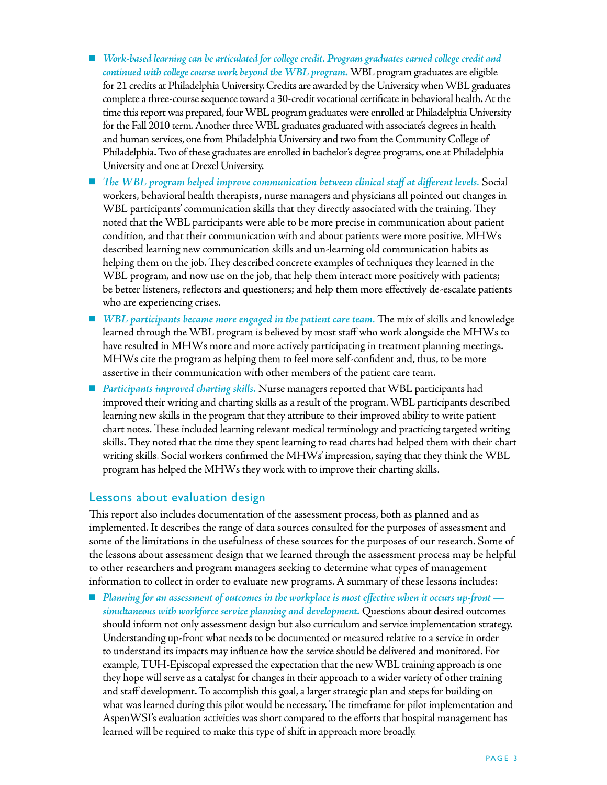- *Work-based learning can be articulated for college credit. Program graduates earned college credit and continued with college course work beyond the WBL program.* WBL program graduates are eligible for 21 credits at Philadelphia University. Credits are awarded by the University when WBL graduates complete a three-course sequence toward a 30-credit vocational certificate in behavioral health. At the time this report was prepared, four WBL program graduates were enrolled at Philadelphia University for the Fall 2010 term. Another three WBL graduates graduated with associate's degrees in health and human services, one from Philadelphia University and two from the Community College of Philadelphia. Two of these graduates are enrolled in bachelor's degree programs, one at Philadelphia University and one at Drexel University.
- n *The WBL program helped improve communication between clinical staff at different levels.* Social workers, behavioral health therapist**s,** nurse managers and physicians all pointed out changes in WBL participants' communication skills that they directly associated with the training. They noted that the WBL participants were able to be more precise in communication about patient condition, and that their communication with and about patients were more positive. MHWs described learning new communication skills and un-learning old communication habits as helping them on the job. They described concrete examples of techniques they learned in the WBL program, and now use on the job, that help them interact more positively with patients; be better listeners, reflectors and questioners; and help them more effectively de-escalate patients who are experiencing crises.
- *WBL participants became more engaged in the patient care team.* The mix of skills and knowledge learned through the WBL program is believed by most staff who work alongside the MHWs to have resulted in MHWs more and more actively participating in treatment planning meetings. MHWs cite the program as helping them to feel more self-confident and, thus, to be more assertive in their communication with other members of the patient care team.
- n *Participants improved charting skills.* Nurse managers reported that WBL participants had improved their writing and charting skills as a result of the program. WBL participants described learning new skills in the program that they attribute to their improved ability to write patient chart notes. These included learning relevant medical terminology and practicing targeted writing skills. They noted that the time they spent learning to read charts had helped them with their chart writing skills. Social workers confirmed the MHWs' impression, saying that they think the WBL program has helped the MHWs they work with to improve their charting skills.

#### Lessons about evaluation design

This report also includes documentation of the assessment process, both as planned and as implemented. It describes the range of data sources consulted for the purposes of assessment and some of the limitations in the usefulness of these sources for the purposes of our research. Some of the lessons about assessment design that we learned through the assessment process may be helpful to other researchers and program managers seeking to determine what types of management information to collect in order to evaluate new programs. A summary of these lessons includes:

■ *Planning for an assessment of outcomes in the workplace is most effective when it occurs up-front simultaneous with workforce service planning and development.* Questions about desired outcomes should inform not only assessment design but also curriculum and service implementation strategy. Understanding up-front what needs to be documented or measured relative to a service in order to understand its impacts may influence how the service should be delivered and monitored. For example, TUH-Episcopal expressed the expectation that the new WBL training approach is one they hope will serve as a catalyst for changes in their approach to a wider variety of other training and staff development. To accomplish this goal, a larger strategic plan and steps for building on what was learned during this pilot would be necessary. The timeframe for pilot implementation and AspenWSI's evaluation activities was short compared to the efforts that hospital management has learned will be required to make this type of shift in approach more broadly.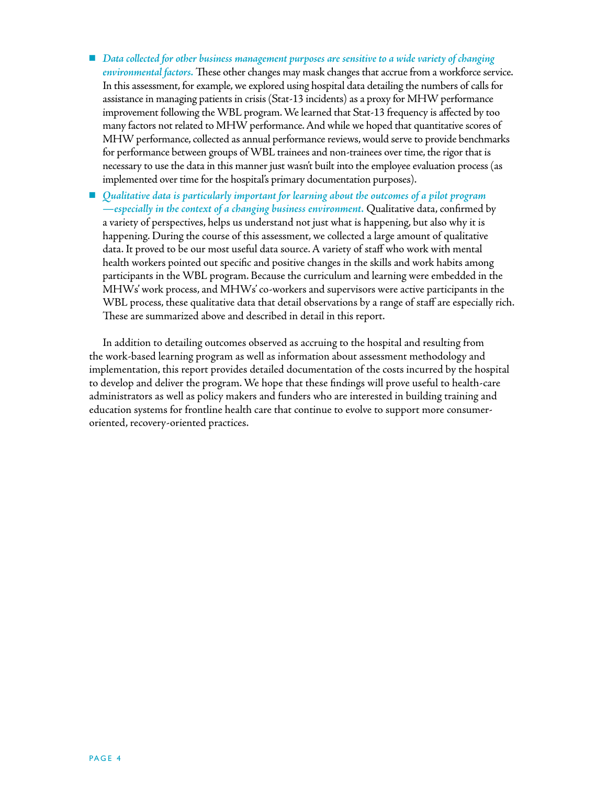- *Data collected for other business management purposes are sensitive to a wide variety of changing environmental factors.* These other changes may mask changes that accrue from a workforce service. In this assessment, for example, we explored using hospital data detailing the numbers of calls for assistance in managing patients in crisis (Stat-13 incidents) as a proxy for MHW performance improvement following the WBL program. We learned that Stat-13 frequency is affected by too many factors not related to MHW performance. And while we hoped that quantitative scores of MHW performance, collected as annual performance reviews, would serve to provide benchmarks for performance between groups of WBL trainees and non-trainees over time, the rigor that is necessary to use the data in this manner just wasn't built into the employee evaluation process (as implemented over time for the hospital's primary documentation purposes).
- *Qualitative data is particularly important for learning about the outcomes of a pilot program —especially in the context of a changing business environment.* Qualitative data, confirmed by a variety of perspectives, helps us understand not just what is happening, but also why it is happening. During the course of this assessment, we collected a large amount of qualitative data. It proved to be our most useful data source. A variety of staff who work with mental health workers pointed out specific and positive changes in the skills and work habits among participants in the WBL program. Because the curriculum and learning were embedded in the MHWs' work process, and MHWs' co-workers and supervisors were active participants in the WBL process, these qualitative data that detail observations by a range of staff are especially rich. These are summarized above and described in detail in this report.

In addition to detailing outcomes observed as accruing to the hospital and resulting from the work-based learning program as well as information about assessment methodology and implementation, this report provides detailed documentation of the costs incurred by the hospital to develop and deliver the program. We hope that these findings will prove useful to health-care administrators as well as policy makers and funders who are interested in building training and education systems for frontline health care that continue to evolve to support more consumeroriented, recovery-oriented practices.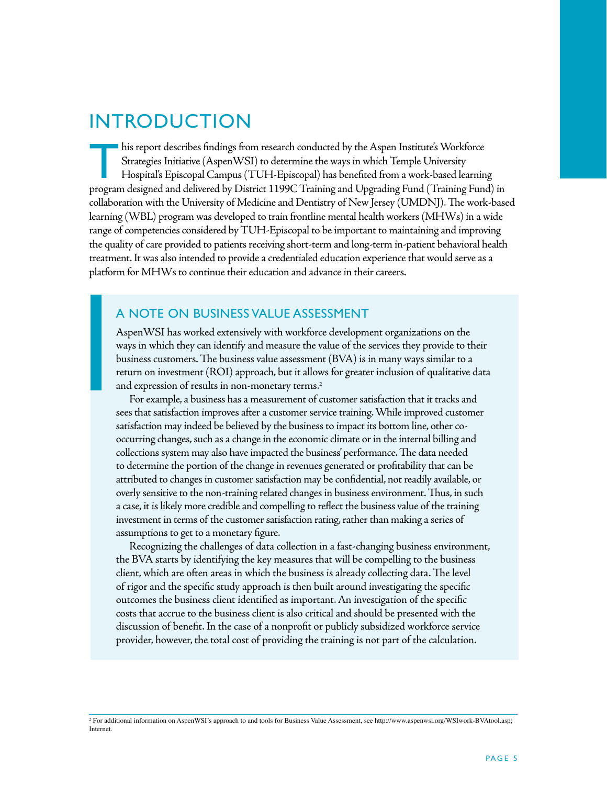## **INTRODUCTION**

 $\blacksquare$  his report describes findings from research conducted by the Aspen Institute's Workforce Strategies Initiative (AspenWSI) to determine the ways in which Temple University Hospital's Episcopal Campus (TUH-Episcopal) has benefited from a work-based learning program designed and delivered by District 1199C Training and Upgrading Fund (Training Fund) in collaboration with the University of Medicine and Dentistry of New Jersey (UMDNJ). The work-based learning (WBL) program was developed to train frontline mental health workers (MHWs) in a wide range of competencies considered by TUH-Episcopal to be important to maintaining and improving the quality of care provided to patients receiving short-term and long-term in-patient behavioral health treatment. It was also intended to provide a credentialed education experience that would serve as a platform for MHWs to continue their education and advance in their careers.

#### A Note on Business Value Assessment

AspenWSI has worked extensively with workforce development organizations on the ways in which they can identify and measure the value of the services they provide to their business customers. The business value assessment (BVA) is in many ways similar to a return on investment (ROI) approach, but it allows for greater inclusion of qualitative data and expression of results in non-monetary terms.<sup>2</sup>

For example, a business has a measurement of customer satisfaction that it tracks and sees that satisfaction improves after a customer service training. While improved customer satisfaction may indeed be believed by the business to impact its bottom line, other cooccurring changes, such as a change in the economic climate or in the internal billing and collections system may also have impacted the business' performance. The data needed to determine the portion of the change in revenues generated or profitability that can be attributed to changes in customer satisfaction may be confidential, not readily available, or overly sensitive to the non-training related changes in business environment. Thus, in such a case, it is likely more credible and compelling to reflect the business value of the training investment in terms of the customer satisfaction rating, rather than making a series of assumptions to get to a monetary figure.

Recognizing the challenges of data collection in a fast-changing business environment, the BVA starts by identifying the key measures that will be compelling to the business client, which are often areas in which the business is already collecting data. The level of rigor and the specific study approach is then built around investigating the specific outcomes the business client identified as important. An investigation of the specific costs that accrue to the business client is also critical and should be presented with the discussion of benefit. In the case of a nonprofit or publicly subsidized workforce service provider, however, the total cost of providing the training is not part of the calculation.

<sup>2</sup> For additional information on AspenWSI's approach to and tools for Business Value Assessment, see http://www.aspenwsi.org/WSIwork-BVAtool.asp; Internet.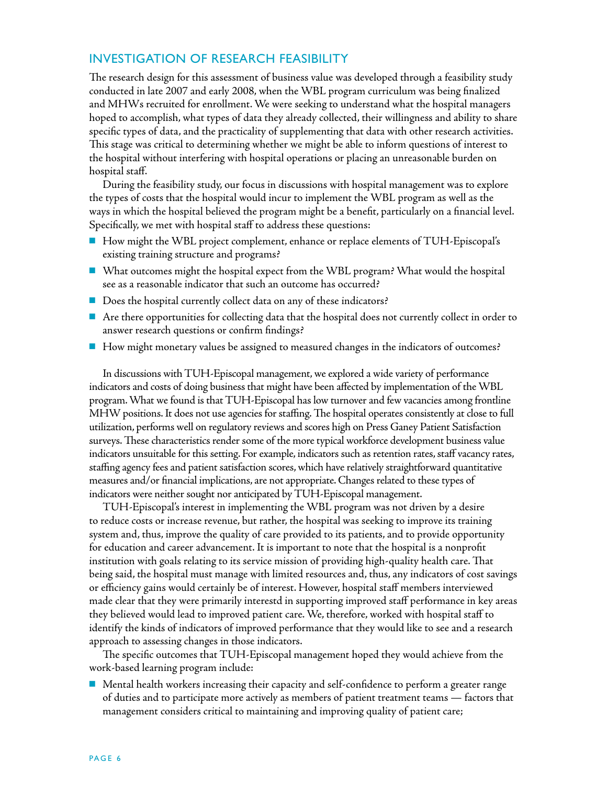## Investigation of Research Feasibility

The research design for this assessment of business value was developed through a feasibility study conducted in late 2007 and early 2008, when the WBL program curriculum was being finalized and MHWs recruited for enrollment. We were seeking to understand what the hospital managers hoped to accomplish, what types of data they already collected, their willingness and ability to share specific types of data, and the practicality of supplementing that data with other research activities. This stage was critical to determining whether we might be able to inform questions of interest to the hospital without interfering with hospital operations or placing an unreasonable burden on hospital staff.

During the feasibility study, our focus in discussions with hospital management was to explore the types of costs that the hospital would incur to implement the WBL program as well as the ways in which the hospital believed the program might be a benefit, particularly on a financial level. Specifically, we met with hospital staff to address these questions:

- How might the WBL project complement, enhance or replace elements of TUH-Episcopal's existing training structure and programs?
- $\blacksquare$  What outcomes might the hospital expect from the WBL program? What would the hospital see as a reasonable indicator that such an outcome has occurred?
- $\blacksquare$  Does the hospital currently collect data on any of these indicators?
- n Are there opportunities for collecting data that the hospital does not currently collect in order to answer research questions or confirm findings?
- n How might monetary values be assigned to measured changes in the indicators of outcomes?

In discussions with TUH-Episcopal management, we explored a wide variety of performance indicators and costs of doing business that might have been affected by implementation of the WBL program. What we found is that TUH-Episcopal has low turnover and few vacancies among frontline MHW positions. It does not use agencies for staffing. The hospital operates consistently at close to full utilization, performs well on regulatory reviews and scores high on Press Ganey Patient Satisfaction surveys. These characteristics render some of the more typical workforce development business value indicators unsuitable for this setting. For example, indicators such as retention rates, staff vacancy rates, staffing agency fees and patient satisfaction scores, which have relatively straightforward quantitative measures and/or financial implications, are not appropriate. Changes related to these types of indicators were neither sought nor anticipated by TUH-Episcopal management.

TUH-Episcopal's interest in implementing the WBL program was not driven by a desire to reduce costs or increase revenue, but rather, the hospital was seeking to improve its training system and, thus, improve the quality of care provided to its patients, and to provide opportunity for education and career advancement. It is important to note that the hospital is a nonprofit institution with goals relating to its service mission of providing high-quality health care. That being said, the hospital must manage with limited resources and, thus, any indicators of cost savings or efficiency gains would certainly be of interest. However, hospital staff members interviewed made clear that they were primarily interestd in supporting improved staff performance in key areas they believed would lead to improved patient care. We, therefore, worked with hospital staff to identify the kinds of indicators of improved performance that they would like to see and a research approach to assessing changes in those indicators.

The specific outcomes that TUH-Episcopal management hoped they would achieve from the work-based learning program include:

n Mental health workers increasing their capacity and self-confidence to perform a greater range of duties and to participate more actively as members of patient treatment teams — factors that management considers critical to maintaining and improving quality of patient care;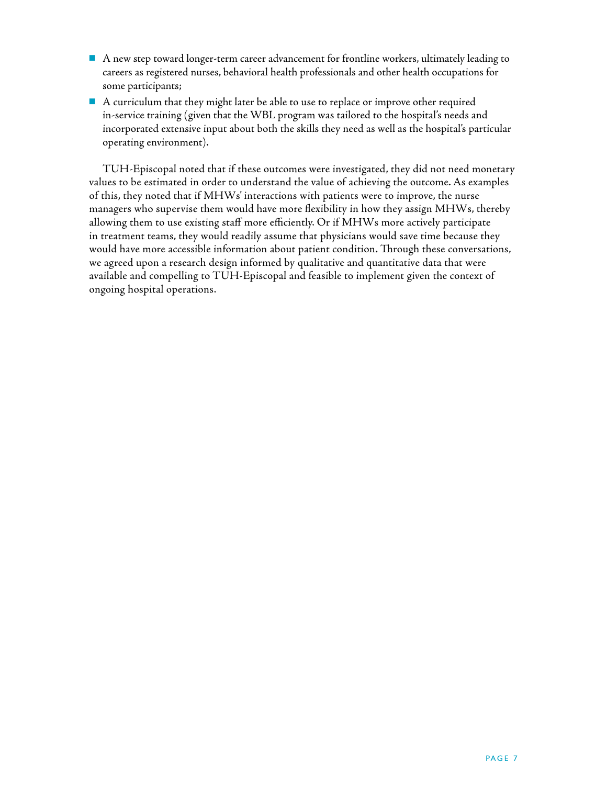- $\blacksquare$  A new step toward longer-term career advancement for frontline workers, ultimately leading to careers as registered nurses, behavioral health professionals and other health occupations for some participants;
- n A curriculum that they might later be able to use to replace or improve other required in-service training (given that the WBL program was tailored to the hospital's needs and incorporated extensive input about both the skills they need as well as the hospital's particular operating environment).

TUH-Episcopal noted that if these outcomes were investigated, they did not need monetary values to be estimated in order to understand the value of achieving the outcome. As examples of this, they noted that if MHWs' interactions with patients were to improve, the nurse managers who supervise them would have more flexibility in how they assign MHWs, thereby allowing them to use existing staff more efficiently. Or if MHWs more actively participate in treatment teams, they would readily assume that physicians would save time because they would have more accessible information about patient condition. Through these conversations, we agreed upon a research design informed by qualitative and quantitative data that were available and compelling to TUH-Episcopal and feasible to implement given the context of ongoing hospital operations.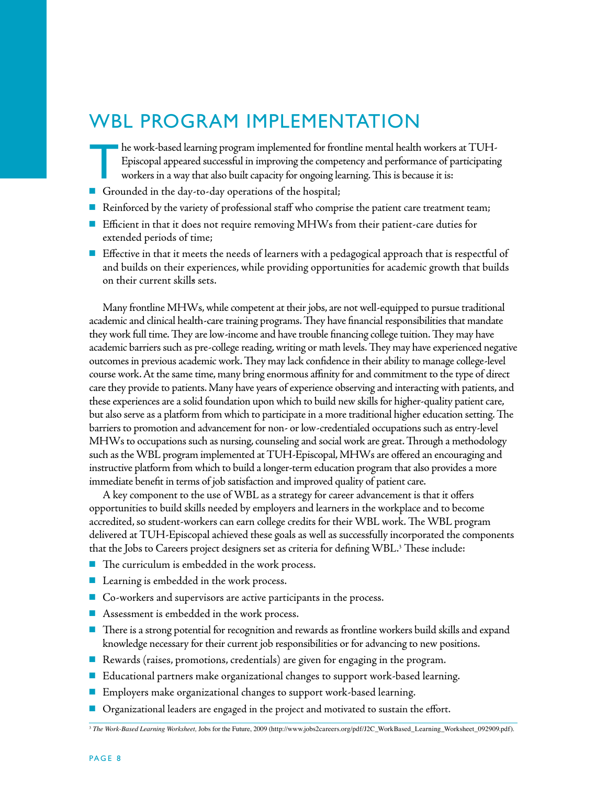## WBL Program Implementation

- $\blacksquare$  he work-based learning program implemented for frontline mental health workers at TUH-Episcopal appeared successful in improving the competency and performance of participating workers in a way that also built capacity for ongoing learning. This is because it is:
- Grounded in the day-to-day operations of the hospital;
- n Reinforced by the variety of professional staff who comprise the patient care treatment team;
- Efficient in that it does not require removing MHWs from their patient-care duties for extended periods of time;
- Effective in that it meets the needs of learners with a pedagogical approach that is respectful of and builds on their experiences, while providing opportunities for academic growth that builds on their current skills sets.

Many frontline MHWs, while competent at their jobs, are not well-equipped to pursue traditional academic and clinical health-care training programs. They have financial responsibilities that mandate they work full time. They are low-income and have trouble financing college tuition. They may have academic barriers such as pre-college reading, writing or math levels. They may have experienced negative outcomes in previous academic work. They may lack confidence in their ability to manage college-level course work. At the same time, many bring enormous affinity for and commitment to the type of direct care they provide to patients. Many have years of experience observing and interacting with patients, and these experiences are a solid foundation upon which to build new skills for higher-quality patient care, but also serve as a platform from which to participate in a more traditional higher education setting. The barriers to promotion and advancement for non- or low-credentialed occupations such as entry-level MHWs to occupations such as nursing, counseling and social work are great. Through a methodology such as the WBL program implemented at TUH-Episcopal, MHWs are offered an encouraging and instructive platform from which to build a longer-term education program that also provides a more immediate benefit in terms of job satisfaction and improved quality of patient care.

A key component to the use of WBL as a strategy for career advancement is that it offers opportunities to build skills needed by employers and learners in the workplace and to become accredited, so student-workers can earn college credits for their WBL work. The WBL program delivered at TUH-Episcopal achieved these goals as well as successfully incorporated the components that the Jobs to Careers project designers set as criteria for defining WBL.<sup>3</sup> These include:

- $\blacksquare$  The curriculum is embedded in the work process.
- $\blacksquare$  Learning is embedded in the work process.
- Co-workers and supervisors are active participants in the process.
- $\blacksquare$  Assessment is embedded in the work process.
- $\blacksquare$  There is a strong potential for recognition and rewards as frontline workers build skills and expand knowledge necessary for their current job responsibilities or for advancing to new positions.
- Rewards (raises, promotions, credentials) are given for engaging in the program.
- Educational partners make organizational changes to support work-based learning.
- Employers make organizational changes to support work-based learning.
- n Organizational leaders are engaged in the project and motivated to sustain the effort.

<sup>3</sup> *The Work-Based Learning Worksheet,* Jobs for the Future, 2009 (http://www.jobs2careers.org/pdf/J2C\_WorkBased\_Learning\_Worksheet\_092909.pdf).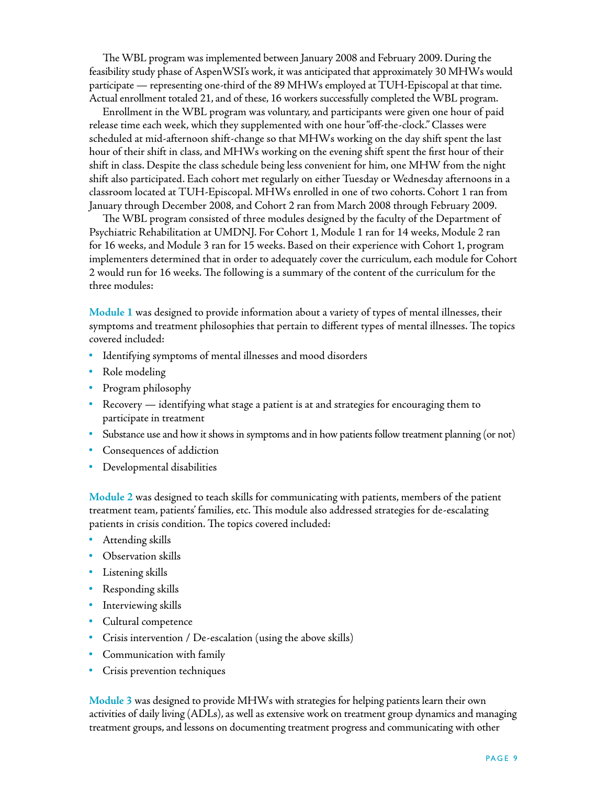The WBL program was implemented between January 2008 and February 2009. During the feasibility study phase of AspenWSI's work, it was anticipated that approximately 30 MHWs would participate — representing one-third of the 89 MHWs employed at TUH-Episcopal at that time. Actual enrollment totaled 21, and of these, 16 workers successfully completed the WBL program.

Enrollment in the WBL program was voluntary, and participants were given one hour of paid release time each week, which they supplemented with one hour "off-the-clock." Classes were scheduled at mid-afternoon shift-change so that MHWs working on the day shift spent the last hour of their shift in class, and MHWs working on the evening shift spent the first hour of their shift in class. Despite the class schedule being less convenient for him, one MHW from the night shift also participated. Each cohort met regularly on either Tuesday or Wednesday afternoons in a classroom located at TUH-Episcopal. MHWs enrolled in one of two cohorts. Cohort 1 ran from January through December 2008, and Cohort 2 ran from March 2008 through February 2009.

The WBL program consisted of three modules designed by the faculty of the Department of Psychiatric Rehabilitation at UMDNJ. For Cohort 1, Module 1 ran for 14 weeks, Module 2 ran for 16 weeks, and Module 3 ran for 15 weeks. Based on their experience with Cohort 1, program implementers determined that in order to adequately cover the curriculum, each module for Cohort 2 would run for 16 weeks. The following is a summary of the content of the curriculum for the three modules:

**Module 1** was designed to provide information about a variety of types of mental illnesses, their symptoms and treatment philosophies that pertain to different types of mental illnesses. The topics covered included:

- Identifying symptoms of mental illnesses and mood disorders
- Role modeling
- Program philosophy
- Recovery identifying what stage a patient is at and strategies for encouraging them to participate in treatment
- Substance use and how it shows in symptoms and in how patients follow treatment planning (or not)
- Consequences of addiction
- Developmental disabilities

**Module 2** was designed to teach skills for communicating with patients, members of the patient treatment team, patients' families, etc. This module also addressed strategies for de-escalating patients in crisis condition. The topics covered included:

- Attending skills
- Observation skills
- Listening skills
- Responding skills
- Interviewing skills
- Cultural competence
- Crisis intervention / De-escalation (using the above skills)
- Communication with family
- Crisis prevention techniques

**Module 3** was designed to provide MHWs with strategies for helping patients learn their own activities of daily living (ADLs), as well as extensive work on treatment group dynamics and managing treatment groups, and lessons on documenting treatment progress and communicating with other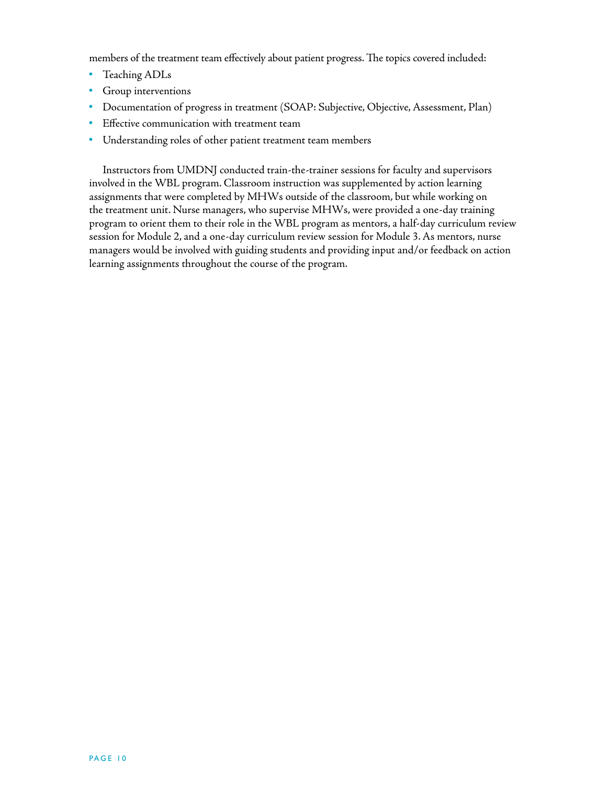members of the treatment team effectively about patient progress. The topics covered included:

- Teaching ADLs
- Group interventions
- Documentation of progress in treatment (SOAP: Subjective, Objective, Assessment, Plan)
- Effective communication with treatment team
- Understanding roles of other patient treatment team members

Instructors from UMDNJ conducted train-the-trainer sessions for faculty and supervisors involved in the WBL program. Classroom instruction was supplemented by action learning assignments that were completed by MHWs outside of the classroom, but while working on the treatment unit. Nurse managers, who supervise MHWs, were provided a one-day training program to orient them to their role in the WBL program as mentors, a half-day curriculum review session for Module 2, and a one-day curriculum review session for Module 3. As mentors, nurse managers would be involved with guiding students and providing input and/or feedback on action learning assignments throughout the course of the program.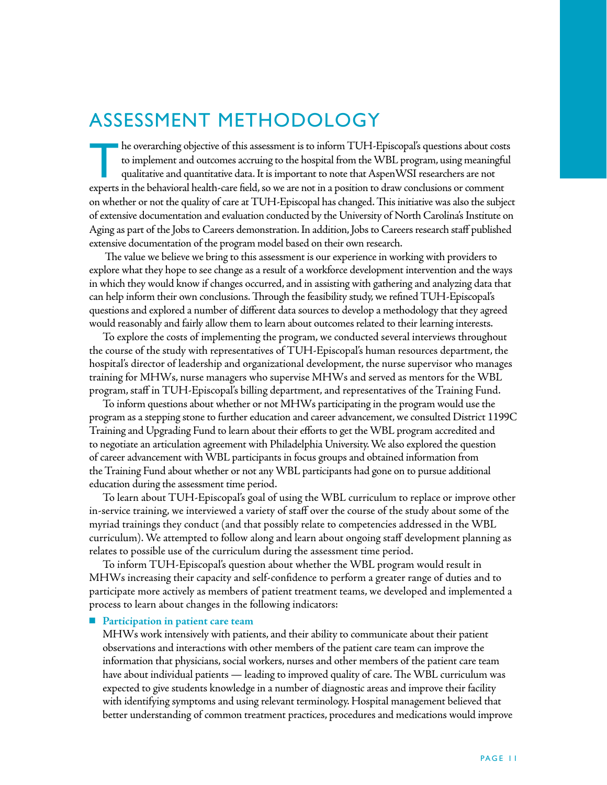## Assessment Methodology

The overarching objective of this assessment is to inform TUH-Episcopal's questions about costs to implement and outcomes accruing to the hospital from the WBL program, using meaningful qualitative and quantitative data. It is important to note that AspenWSI researchers are not experts in the behavioral health-care field, so we are not in a position to draw conclusions or comment on whether or not the quality of care at TUH-Episcopal has changed. This initiative was also the subject of extensive documentation and evaluation conducted by the University of North Carolina's Institute on Aging as part of the Jobs to Careers demonstration. In addition, Jobs to Careers research staff published extensive documentation of the program model based on their own research.

 The value we believe we bring to this assessment is our experience in working with providers to explore what they hope to see change as a result of a workforce development intervention and the ways in which they would know if changes occurred, and in assisting with gathering and analyzing data that can help inform their own conclusions. Through the feasibility study, we refined TUH-Episcopal's questions and explored a number of different data sources to develop a methodology that they agreed would reasonably and fairly allow them to learn about outcomes related to their learning interests.

To explore the costs of implementing the program, we conducted several interviews throughout the course of the study with representatives of TUH-Episcopal's human resources department, the hospital's director of leadership and organizational development, the nurse supervisor who manages training for MHWs, nurse managers who supervise MHWs and served as mentors for the WBL program, staff in TUH-Episcopal's billing department, and representatives of the Training Fund.

To inform questions about whether or not MHWs participating in the program would use the program as a stepping stone to further education and career advancement, we consulted District 1199C Training and Upgrading Fund to learn about their efforts to get the WBL program accredited and to negotiate an articulation agreement with Philadelphia University. We also explored the question of career advancement with WBL participants in focus groups and obtained information from the Training Fund about whether or not any WBL participants had gone on to pursue additional education during the assessment time period.

To learn about TUH-Episcopal's goal of using the WBL curriculum to replace or improve other in-service training, we interviewed a variety of staff over the course of the study about some of the myriad trainings they conduct (and that possibly relate to competencies addressed in the WBL curriculum). We attempted to follow along and learn about ongoing staff development planning as relates to possible use of the curriculum during the assessment time period.

To inform TUH-Episcopal's question about whether the WBL program would result in MHWs increasing their capacity and self-confidence to perform a greater range of duties and to participate more actively as members of patient treatment teams, we developed and implemented a process to learn about changes in the following indicators:

#### ■ Participation in patient care team

MHWs work intensively with patients, and their ability to communicate about their patient observations and interactions with other members of the patient care team can improve the information that physicians, social workers, nurses and other members of the patient care team have about individual patients — leading to improved quality of care. The WBL curriculum was expected to give students knowledge in a number of diagnostic areas and improve their facility with identifying symptoms and using relevant terminology. Hospital management believed that better understanding of common treatment practices, procedures and medications would improve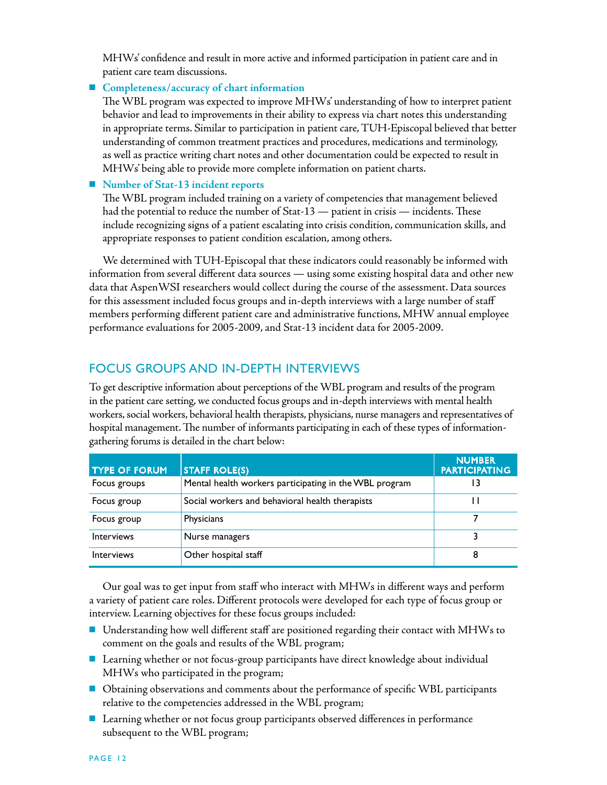MHWs' confidence and result in more active and informed participation in patient care and in patient care team discussions.

#### ■ Completeness/accuracy of chart information

The WBL program was expected to improve MHWs' understanding of how to interpret patient behavior and lead to improvements in their ability to express via chart notes this understanding in appropriate terms. Similar to participation in patient care, TUH-Episcopal believed that better understanding of common treatment practices and procedures, medications and terminology, as well as practice writing chart notes and other documentation could be expected to result in MHWs' being able to provide more complete information on patient charts.

■ Number of Stat-13 incident reports

The WBL program included training on a variety of competencies that management believed had the potential to reduce the number of Stat-13 — patient in crisis — incidents. These include recognizing signs of a patient escalating into crisis condition, communication skills, and appropriate responses to patient condition escalation, among others.

We determined with TUH-Episcopal that these indicators could reasonably be informed with information from several different data sources — using some existing hospital data and other new data that AspenWSI researchers would collect during the course of the assessment. Data sources for this assessment included focus groups and in-depth interviews with a large number of staff members performing different patient care and administrative functions, MHW annual employee performance evaluations for 2005-2009, and Stat-13 incident data for 2005-2009.

## Focus Groups and In-Depth Interviews

To get descriptive information about perceptions of the WBL program and results of the program in the patient care setting, we conducted focus groups and in-depth interviews with mental health workers, social workers, behavioral health therapists, physicians, nurse managers and representatives of hospital management. The number of informants participating in each of these types of informationgathering forums is detailed in the chart below:

| <b>TYPE OF FORUM</b> | <b>STAFF ROLE(S)</b>                                   | <b>NUMBER</b><br><b>PARTICIPATING</b> |
|----------------------|--------------------------------------------------------|---------------------------------------|
| Focus groups         | Mental health workers participating in the WBL program | 13                                    |
| Focus group          | Social workers and behavioral health therapists        |                                       |
| Focus group          | <b>Physicians</b>                                      |                                       |
| <b>Interviews</b>    | Nurse managers                                         |                                       |
| <b>Interviews</b>    | Other hospital staff                                   | 8                                     |

Our goal was to get input from staff who interact with MHWs in different ways and perform a variety of patient care roles. Different protocols were developed for each type of focus group or interview. Learning objectives for these focus groups included:

- Understanding how well different staff are positioned regarding their contact with MHWs to comment on the goals and results of the WBL program;
- Learning whether or not focus-group participants have direct knowledge about individual MHWs who participated in the program;
- **n** Obtaining observations and comments about the performance of specific WBL participants relative to the competencies addressed in the WBL program;
- Learning whether or not focus group participants observed differences in performance subsequent to the WBL program;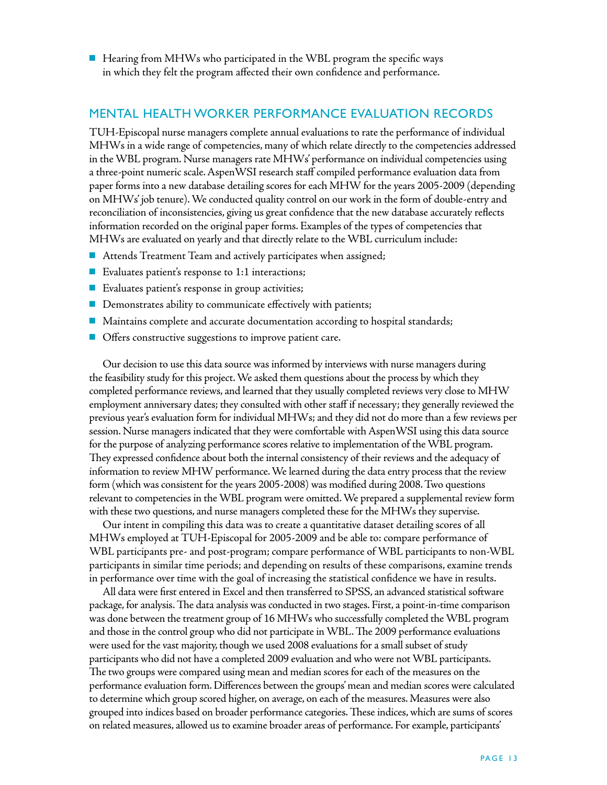$\blacksquare$  Hearing from MHWs who participated in the WBL program the specific ways in which they felt the program affected their own confidence and performance.

#### Mental Health Worker Performance Evaluation Records

TUH-Episcopal nurse managers complete annual evaluations to rate the performance of individual MHWs in a wide range of competencies, many of which relate directly to the competencies addressed in the WBL program. Nurse managers rate MHWs' performance on individual competencies using a three-point numeric scale. AspenWSI research staff compiled performance evaluation data from paper forms into a new database detailing scores for each MHW for the years 2005-2009 (depending on MHWs' job tenure). We conducted quality control on our work in the form of double-entry and reconciliation of inconsistencies, giving us great confidence that the new database accurately reflects information recorded on the original paper forms. Examples of the types of competencies that MHWs are evaluated on yearly and that directly relate to the WBL curriculum include:

- $\blacksquare$  Attends Treatment Team and actively participates when assigned;
- Evaluates patient's response to  $1:1$  interactions;
- **n** Evaluates patient's response in group activities;
- Demonstrates ability to communicate effectively with patients;
- $\blacksquare$  Maintains complete and accurate documentation according to hospital standards;
- **n** Offers constructive suggestions to improve patient care.

Our decision to use this data source was informed by interviews with nurse managers during the feasibility study for this project. We asked them questions about the process by which they completed performance reviews, and learned that they usually completed reviews very close to MHW employment anniversary dates; they consulted with other staff if necessary; they generally reviewed the previous year's evaluation form for individual MHWs; and they did not do more than a few reviews per session. Nurse managers indicated that they were comfortable with AspenWSI using this data source for the purpose of analyzing performance scores relative to implementation of the WBL program. They expressed confidence about both the internal consistency of their reviews and the adequacy of information to review MHW performance. We learned during the data entry process that the review form (which was consistent for the years 2005-2008) was modified during 2008. Two questions relevant to competencies in the WBL program were omitted. We prepared a supplemental review form with these two questions, and nurse managers completed these for the MHWs they supervise.

Our intent in compiling this data was to create a quantitative dataset detailing scores of all MHWs employed at TUH-Episcopal for 2005-2009 and be able to: compare performance of WBL participants pre- and post-program; compare performance of WBL participants to non-WBL participants in similar time periods; and depending on results of these comparisons, examine trends in performance over time with the goal of increasing the statistical confidence we have in results.

All data were first entered in Excel and then transferred to SPSS, an advanced statistical software package, for analysis. The data analysis was conducted in two stages. First, a point-in-time comparison was done between the treatment group of 16 MHWs who successfully completed the WBL program and those in the control group who did not participate in WBL. The 2009 performance evaluations were used for the vast majority, though we used 2008 evaluations for a small subset of study participants who did not have a completed 2009 evaluation and who were not WBL participants. The two groups were compared using mean and median scores for each of the measures on the performance evaluation form. Differences between the groups' mean and median scores were calculated to determine which group scored higher, on average, on each of the measures. Measures were also grouped into indices based on broader performance categories. These indices, which are sums of scores on related measures, allowed us to examine broader areas of performance. For example, participants'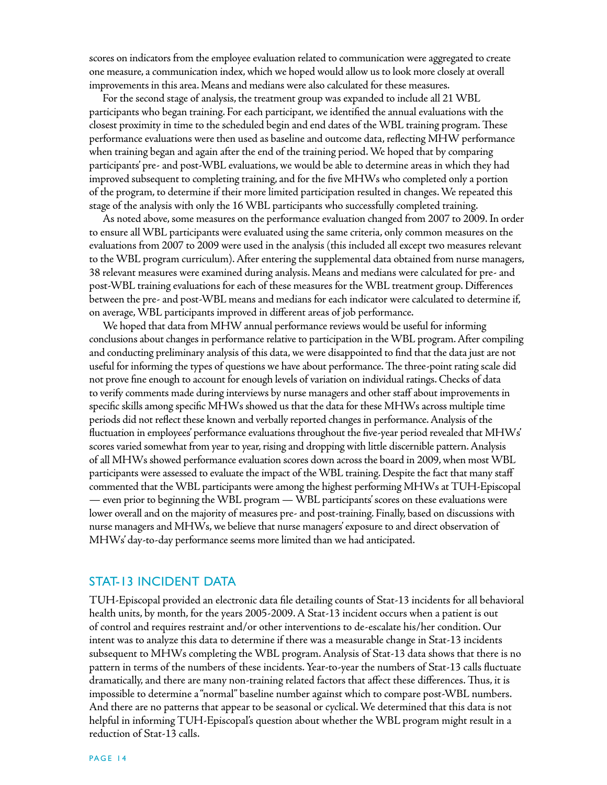scores on indicators from the employee evaluation related to communication were aggregated to create one measure, a communication index, which we hoped would allow us to look more closely at overall improvements in this area. Means and medians were also calculated for these measures.

For the second stage of analysis, the treatment group was expanded to include all 21 WBL participants who began training. For each participant, we identified the annual evaluations with the closest proximity in time to the scheduled begin and end dates of the WBL training program. These performance evaluations were then used as baseline and outcome data, reflecting MHW performance when training began and again after the end of the training period. We hoped that by comparing participants' pre- and post-WBL evaluations, we would be able to determine areas in which they had improved subsequent to completing training, and for the five MHWs who completed only a portion of the program, to determine if their more limited participation resulted in changes. We repeated this stage of the analysis with only the 16 WBL participants who successfully completed training.

As noted above, some measures on the performance evaluation changed from 2007 to 2009. In order to ensure all WBL participants were evaluated using the same criteria, only common measures on the evaluations from 2007 to 2009 were used in the analysis (this included all except two measures relevant to the WBL program curriculum). After entering the supplemental data obtained from nurse managers, 38 relevant measures were examined during analysis. Means and medians were calculated for pre- and post-WBL training evaluations for each of these measures for the WBL treatment group. Differences between the pre- and post-WBL means and medians for each indicator were calculated to determine if, on average, WBL participants improved in different areas of job performance.

We hoped that data from MHW annual performance reviews would be useful for informing conclusions about changes in performance relative to participation in the WBL program. After compiling and conducting preliminary analysis of this data, we were disappointed to find that the data just are not useful for informing the types of questions we have about performance. The three-point rating scale did not prove fine enough to account for enough levels of variation on individual ratings. Checks of data to verify comments made during interviews by nurse managers and other staff about improvements in specific skills among specific MHWs showed us that the data for these MHWs across multiple time periods did not reflect these known and verbally reported changes in performance. Analysis of the fluctuation in employees' performance evaluations throughout the five-year period revealed that MHWs' scores varied somewhat from year to year, rising and dropping with little discernible pattern. Analysis of all MHWs showed performance evaluation scores down across the board in 2009, when most WBL participants were assessed to evaluate the impact of the WBL training. Despite the fact that many staff commented that the WBL participants were among the highest performing MHWs at TUH-Episcopal — even prior to beginning the WBL program — WBL participants' scores on these evaluations were lower overall and on the majority of measures pre- and post-training. Finally, based on discussions with nurse managers and MHWs, we believe that nurse managers' exposure to and direct observation of MHWs' day-to-day performance seems more limited than we had anticipated.

#### Stat-13 Incident Data

TUH-Episcopal provided an electronic data file detailing counts of Stat-13 incidents for all behavioral health units, by month, for the years 2005-2009. A Stat-13 incident occurs when a patient is out of control and requires restraint and/or other interventions to de-escalate his/her condition. Our intent was to analyze this data to determine if there was a measurable change in Stat-13 incidents subsequent to MHWs completing the WBL program. Analysis of Stat-13 data shows that there is no pattern in terms of the numbers of these incidents. Year-to-year the numbers of Stat-13 calls fluctuate dramatically, and there are many non-training related factors that affect these differences. Thus, it is impossible to determine a "normal" baseline number against which to compare post-WBL numbers. And there are no patterns that appear to be seasonal or cyclical. We determined that this data is not helpful in informing TUH-Episcopal's question about whether the WBL program might result in a reduction of Stat-13 calls.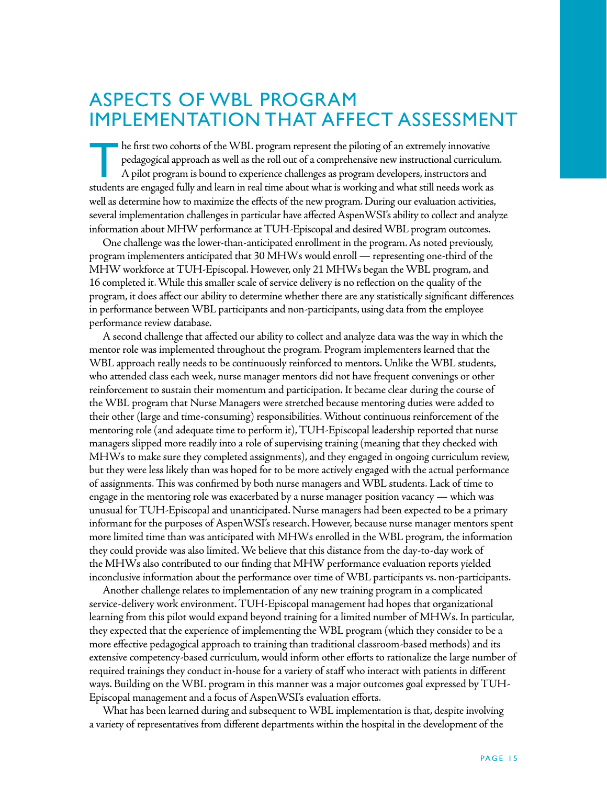## Aspects of WBL Program Implementation that Affect Assessment

The first two cohorts of the WBL program represent the piloting of an extremely innovative pedagogical approach as well as the roll out of a comprehensive new instructional curriculum. A pilot program is bound to experience challenges as program developers, instructors and students are engaged fully and learn in real time about what is working and what still needs work as well as determine how to maximize the effects of the new program. During our evaluation activities, several implementation challenges in particular have affected AspenWSI's ability to collect and analyze information about MHW performance at TUH-Episcopal and desired WBL program outcomes.

One challenge was the lower-than-anticipated enrollment in the program. As noted previously, program implementers anticipated that 30 MHWs would enroll — representing one-third of the MHW workforce at TUH-Episcopal. However, only 21 MHWs began the WBL program, and 16 completed it. While this smaller scale of service delivery is no reflection on the quality of the program, it does affect our ability to determine whether there are any statistically significant differences in performance between WBL participants and non-participants, using data from the employee performance review database.

A second challenge that affected our ability to collect and analyze data was the way in which the mentor role was implemented throughout the program. Program implementers learned that the WBL approach really needs to be continuously reinforced to mentors. Unlike the WBL students, who attended class each week, nurse manager mentors did not have frequent convenings or other reinforcement to sustain their momentum and participation. It became clear during the course of the WBL program that Nurse Managers were stretched because mentoring duties were added to their other (large and time-consuming) responsibilities. Without continuous reinforcement of the mentoring role (and adequate time to perform it), TUH-Episcopal leadership reported that nurse managers slipped more readily into a role of supervising training (meaning that they checked with MHWs to make sure they completed assignments), and they engaged in ongoing curriculum review, but they were less likely than was hoped for to be more actively engaged with the actual performance of assignments. This was confirmed by both nurse managers and WBL students. Lack of time to engage in the mentoring role was exacerbated by a nurse manager position vacancy — which was unusual for TUH-Episcopal and unanticipated. Nurse managers had been expected to be a primary informant for the purposes of AspenWSI's research. However, because nurse manager mentors spent more limited time than was anticipated with MHWs enrolled in the WBL program, the information they could provide was also limited. We believe that this distance from the day-to-day work of the MHWs also contributed to our finding that MHW performance evaluation reports yielded inconclusive information about the performance over time of WBL participants vs. non-participants.

Another challenge relates to implementation of any new training program in a complicated service-delivery work environment. TUH-Episcopal management had hopes that organizational learning from this pilot would expand beyond training for a limited number of MHWs. In particular, they expected that the experience of implementing the WBL program (which they consider to be a more effective pedagogical approach to training than traditional classroom-based methods) and its extensive competency-based curriculum, would inform other efforts to rationalize the large number of required trainings they conduct in-house for a variety of staff who interact with patients in different ways. Building on the WBL program in this manner was a major outcomes goal expressed by TUH-Episcopal management and a focus of AspenWSI's evaluation efforts.

What has been learned during and subsequent to WBL implementation is that, despite involving a variety of representatives from different departments within the hospital in the development of the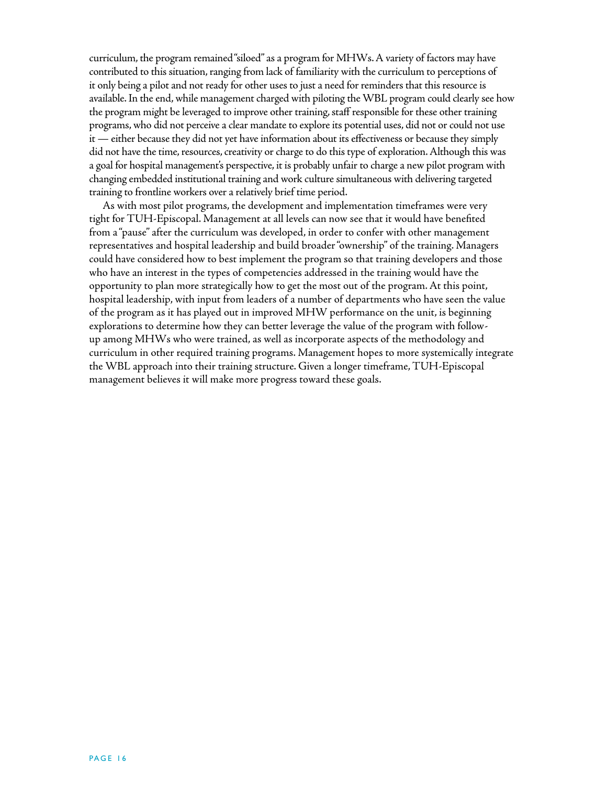curriculum, the program remained "siloed" as a program for MHWs. A variety of factors may have contributed to this situation, ranging from lack of familiarity with the curriculum to perceptions of it only being a pilot and not ready for other uses to just a need for reminders that this resource is available. In the end, while management charged with piloting the WBL program could clearly see how the program might be leveraged to improve other training, staff responsible for these other training programs, who did not perceive a clear mandate to explore its potential uses, did not or could not use it — either because they did not yet have information about its effectiveness or because they simply did not have the time, resources, creativity or charge to do this type of exploration. Although this was a goal for hospital management's perspective, it is probably unfair to charge a new pilot program with changing embedded institutional training and work culture simultaneous with delivering targeted training to frontline workers over a relatively brief time period.

As with most pilot programs, the development and implementation timeframes were very tight for TUH-Episcopal. Management at all levels can now see that it would have benefited from a "pause" after the curriculum was developed, in order to confer with other management representatives and hospital leadership and build broader "ownership" of the training. Managers could have considered how to best implement the program so that training developers and those who have an interest in the types of competencies addressed in the training would have the opportunity to plan more strategically how to get the most out of the program. At this point, hospital leadership, with input from leaders of a number of departments who have seen the value of the program as it has played out in improved MHW performance on the unit, is beginning explorations to determine how they can better leverage the value of the program with followup among MHWs who were trained, as well as incorporate aspects of the methodology and curriculum in other required training programs. Management hopes to more systemically integrate the WBL approach into their training structure. Given a longer timeframe, TUH-Episcopal management believes it will make more progress toward these goals.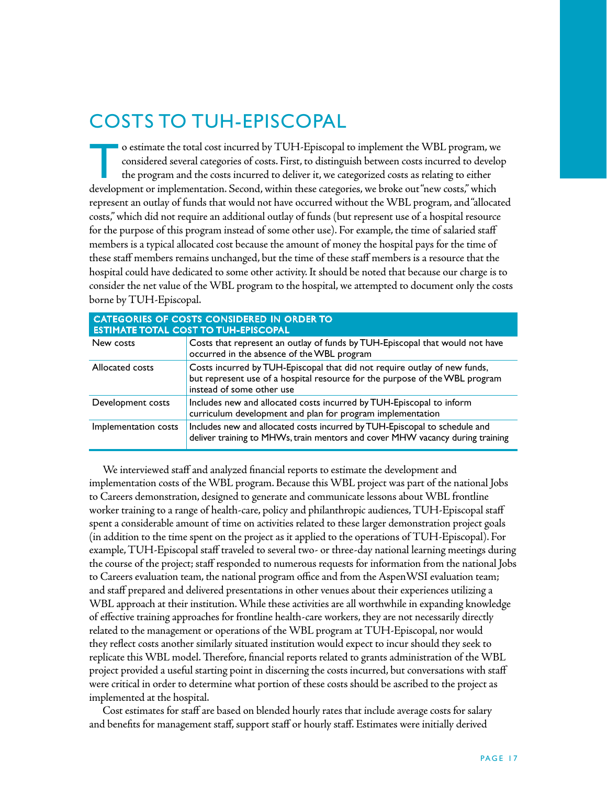## Costs to TUH-Episcopal

o estimate the total cost incurred by TUH-Episcopal to implement the WBL program, we considered several categories of costs. First, to distinguish between costs incurred to develop the program and the costs incurred to del considered several categories of costs. First, to distinguish between costs incurred to develop the program and the costs incurred to deliver it, we categorized costs as relating to either development or implementation. Second, within these categories, we broke out "new costs," which represent an outlay of funds that would not have occurred without the WBL program, and "allocated costs," which did not require an additional outlay of funds (but represent use of a hospital resource for the purpose of this program instead of some other use). For example, the time of salaried staff members is a typical allocated cost because the amount of money the hospital pays for the time of these staff members remains unchanged, but the time of these staff members is a resource that the hospital could have dedicated to some other activity. It should be noted that because our charge is to consider the net value of the WBL program to the hospital, we attempted to document only the costs borne by TUH-Episcopal.

| <b>CATEGORIES OF COSTS CONSIDERED IN ORDER TO</b><br><b>ESTIMATE TOTAL COST TO TUH-EPISCOPAL</b> |                                                                                                                                                                                       |  |  |
|--------------------------------------------------------------------------------------------------|---------------------------------------------------------------------------------------------------------------------------------------------------------------------------------------|--|--|
| New costs                                                                                        | Costs that represent an outlay of funds by TUH-Episcopal that would not have<br>occurred in the absence of the WBL program                                                            |  |  |
| Allocated costs                                                                                  | Costs incurred by TUH-Episcopal that did not require outlay of new funds,<br>but represent use of a hospital resource for the purpose of the WBL program<br>instead of some other use |  |  |
| Development costs                                                                                | Includes new and allocated costs incurred by TUH-Episcopal to inform<br>curriculum development and plan for program implementation                                                    |  |  |
| Implementation costs                                                                             | Includes new and allocated costs incurred by TUH-Episcopal to schedule and<br>deliver training to MHWs, train mentors and cover MHW vacancy during training                           |  |  |

We interviewed staff and analyzed financial reports to estimate the development and implementation costs of the WBL program. Because this WBL project was part of the national Jobs to Careers demonstration, designed to generate and communicate lessons about WBL frontline worker training to a range of health-care, policy and philanthropic audiences, TUH-Episcopal staff spent a considerable amount of time on activities related to these larger demonstration project goals (in addition to the time spent on the project as it applied to the operations of TUH-Episcopal). For example, TUH-Episcopal staff traveled to several two- or three-day national learning meetings during the course of the project; staff responded to numerous requests for information from the national Jobs to Careers evaluation team, the national program office and from the AspenWSI evaluation team; and staff prepared and delivered presentations in other venues about their experiences utilizing a WBL approach at their institution. While these activities are all worthwhile in expanding knowledge of effective training approaches for frontline health-care workers, they are not necessarily directly related to the management or operations of the WBL program at TUH-Episcopal, nor would they reflect costs another similarly situated institution would expect to incur should they seek to replicate this WBL model. Therefore, financial reports related to grants administration of the WBL project provided a useful starting point in discerning the costs incurred, but conversations with staff were critical in order to determine what portion of these costs should be ascribed to the project as implemented at the hospital.

Cost estimates for staff are based on blended hourly rates that include average costs for salary and benefits for management staff, support staff or hourly staff. Estimates were initially derived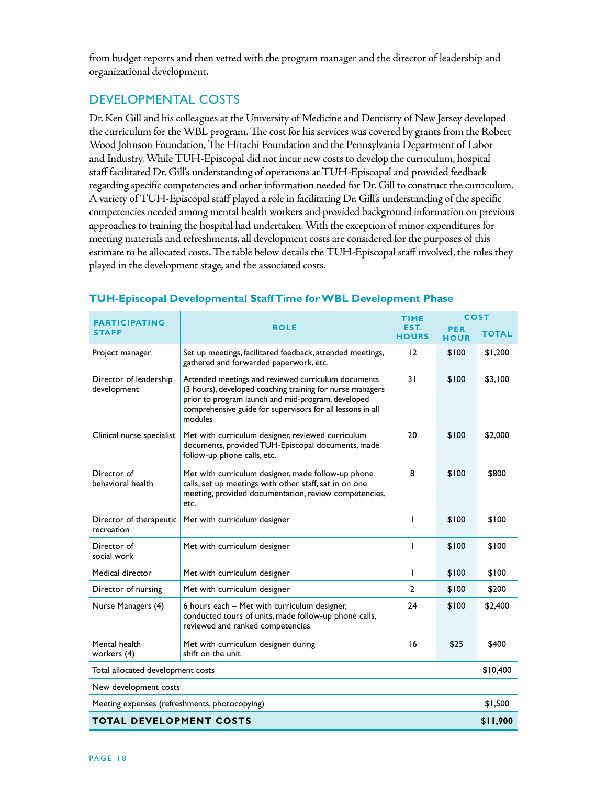from budget reports and then vetted with the program manager and the director of leadership and organizational development.

## Developmental costs

Dr. Ken Gill and his colleagues at the University of Medicine and Dentistry of New Jersey developed the curriculum for the WBL program. The cost for his services was covered by grants from the Robert Wood Johnson Foundation, The Hitachi Foundation and the Pennsylvania Department of Labor and Industry. While TUH-Episcopal did not incur new costs to develop the curriculum, hospital staff facilitated Dr. Gill's understanding of operations at TUH-Episcopal and provided feedback regarding specific competencies and other information needed for Dr. Gill to construct the curriculum. A variety of TUH-Episcopal staff played a role in facilitating Dr. Gill's understanding of the specific competencies needed among mental health workers and provided background information on previous approaches to training the hospital had undertaken. With the exception of minor expenditures for meeting materials and refreshments, all development costs are considered for the purposes of this estimate to be allocated costs. The table below details the TUH-Episcopal staff involved, the roles they played in the development stage, and the associated costs.

| <b>PARTICIPATING</b>                          |                                                                                                                                                                                                                                                 | <b>TIME</b>  | <b>COST</b>               |              |
|-----------------------------------------------|-------------------------------------------------------------------------------------------------------------------------------------------------------------------------------------------------------------------------------------------------|--------------|---------------------------|--------------|
| <b>STAFF</b>                                  | <b>ROLE</b>                                                                                                                                                                                                                                     |              | <b>PER</b><br><b>HOUR</b> | <b>TOTAL</b> |
| Project manager                               | Set up meetings, facilitated feedback, attended meetings,<br>gathered and forwarded paperwork, etc.                                                                                                                                             | 12           | \$100                     | \$1,200      |
| Director of leadership<br>development         | Attended meetings and reviewed curriculum documents<br>(3 hours), developed coaching training for nurse managers<br>prior to program launch and mid-program, developed<br>comprehensive guide for supervisors for all lessons in all<br>modules | 31           | \$100                     | \$3,100      |
| Clinical nurse specialist                     | Met with curriculum designer, reviewed curriculum<br>documents, provided TUH-Episcopal documents, made<br>follow-up phone calls, etc.                                                                                                           | 20           | \$100                     | \$2,000      |
| Director of<br>behavioral health              | Met with curriculum designer, made follow-up phone<br>calls, set up meetings with other staff, sat in on one<br>meeting, provided documentation, review competencies,<br>etc.                                                                   | 8            | \$100                     | \$800        |
| Director of therapeutic<br>recreation         | Met with curriculum designer                                                                                                                                                                                                                    | T            | \$100                     | \$100        |
| Director of<br>social work                    | Met with curriculum designer                                                                                                                                                                                                                    |              | \$100                     | \$100        |
| Medical director                              | Met with curriculum designer                                                                                                                                                                                                                    | $\mathsf{I}$ | \$100                     | \$100        |
| Director of nursing                           | Met with curriculum designer                                                                                                                                                                                                                    |              | \$100                     | \$200        |
| Nurse Managers (4)                            | 6 hours each - Met with curriculum designer,<br>conducted tours of units, made follow-up phone calls,<br>reviewed and ranked competencies                                                                                                       |              | \$100                     | \$2,400      |
| Mental health<br>workers (4)                  | Met with curriculum designer during<br>shift on the unit                                                                                                                                                                                        | 16           | \$25                      | \$400        |
| Total allocated development costs             |                                                                                                                                                                                                                                                 |              |                           | \$10,400     |
| New development costs                         |                                                                                                                                                                                                                                                 |              |                           |              |
| Meeting expenses (refreshments, photocopying) |                                                                                                                                                                                                                                                 |              |                           | \$1,500      |
| <b>TOTAL DEVELOPMENT COSTS</b>                |                                                                                                                                                                                                                                                 |              |                           | \$11,900     |

#### **TUH-Episcopal Developmental Staff Time for WBL Development Phase**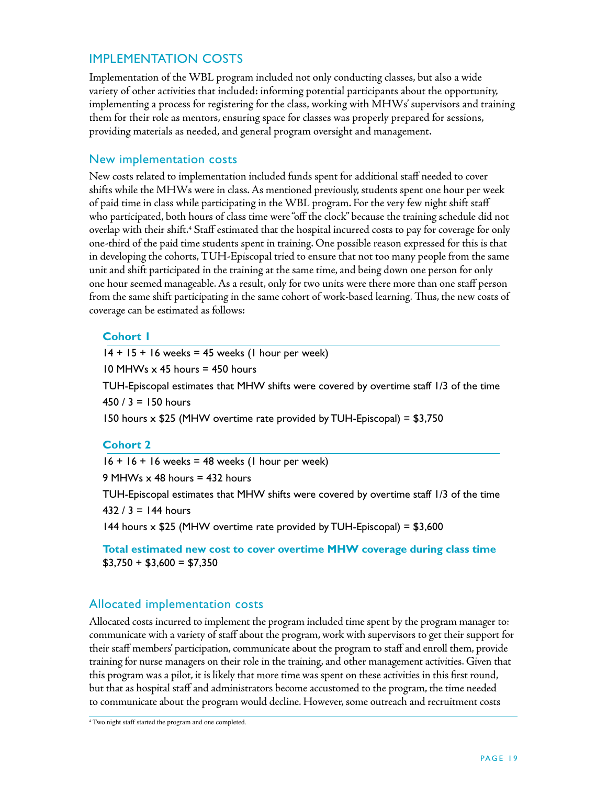## Implementation Costs

Implementation of the WBL program included not only conducting classes, but also a wide variety of other activities that included: informing potential participants about the opportunity, implementing a process for registering for the class, working with MHWs' supervisors and training them for their role as mentors, ensuring space for classes was properly prepared for sessions, providing materials as needed, and general program oversight and management.

#### New implementation costs

New costs related to implementation included funds spent for additional staff needed to cover shifts while the MHWs were in class. As mentioned previously, students spent one hour per week of paid time in class while participating in the WBL program. For the very few night shift staff who participated, both hours of class time were "off the clock" because the training schedule did not overlap with their shift.<sup>4</sup> Staff estimated that the hospital incurred costs to pay for coverage for only one-third of the paid time students spent in training. One possible reason expressed for this is that in developing the cohorts, TUH-Episcopal tried to ensure that not too many people from the same unit and shift participated in the training at the same time, and being down one person for only one hour seemed manageable. As a result, only for two units were there more than one staff person from the same shift participating in the same cohort of work-based learning. Thus, the new costs of coverage can be estimated as follows:

#### **Cohort 1**

 $14 + 15 + 16$  weeks = 45 weeks (1 hour per week) 10 MHWs  $\times$  45 hours = 450 hours TUH-Episcopal estimates that MHW shifts were covered by overtime staff 1/3 of the time  $450 / 3 = 150$  hours 150 hours x \$25 (MHW overtime rate provided by TUH-Episcopal) = \$3,750

#### **Cohort 2**

 $16 + 16 + 16$  weeks = 48 weeks (1 hour per week) 9 MHWs  $\times$  48 hours = 432 hours TUH-Episcopal estimates that MHW shifts were covered by overtime staff 1/3 of the time 432 / 3 = 144 hours 144 hours  $\times$  \$25 (MHW overtime rate provided by TUH-Episcopal) = \$3,600

 **Total estimated new cost to cover overtime MHW coverage during class time**  $$3,750 + $3,600 = $7,350$ 

### Allocated implementation costs

Allocated costs incurred to implement the program included time spent by the program manager to: communicate with a variety of staff about the program, work with supervisors to get their support for their staff members' participation, communicate about the program to staff and enroll them, provide training for nurse managers on their role in the training, and other management activities. Given that this program was a pilot, it is likely that more time was spent on these activities in this first round, but that as hospital staff and administrators become accustomed to the program, the time needed to communicate about the program would decline. However, some outreach and recruitment costs

<sup>4</sup> Two night staff started the program and one completed.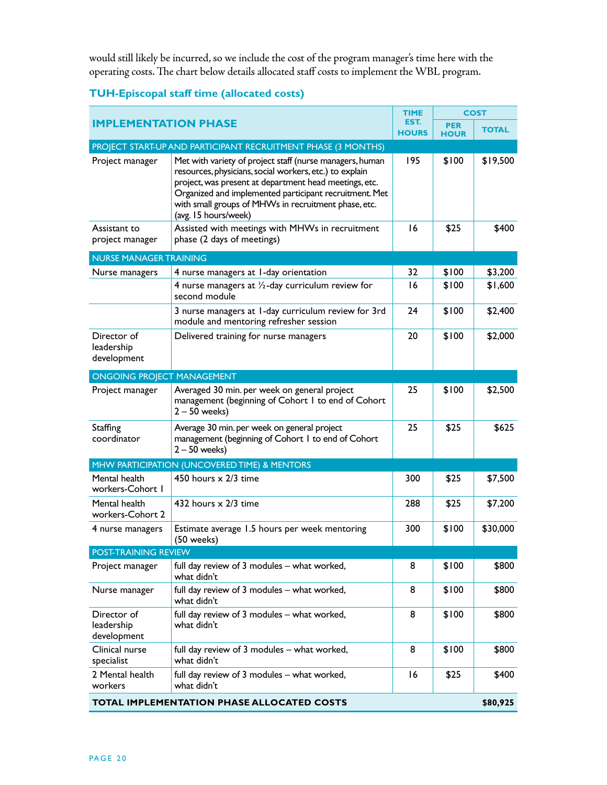would still likely be incurred, so we include the cost of the program manager's time here with the operating costs. The chart below details allocated staff costs to implement the WBL program.

|                                                        |                                                                                                                                                                                                                                                                                                                         | TIME                 |                           | <b>COST</b>  |  |
|--------------------------------------------------------|-------------------------------------------------------------------------------------------------------------------------------------------------------------------------------------------------------------------------------------------------------------------------------------------------------------------------|----------------------|---------------------------|--------------|--|
| <b>IMPLEMENTATION PHASE</b>                            |                                                                                                                                                                                                                                                                                                                         | EST.<br><b>HOURS</b> | <b>PER</b><br><b>HOUR</b> | <b>TOTAL</b> |  |
|                                                        | PROJECT START-UP AND PARTICIPANT RECRUITMENT PHASE (3 MONTHS)                                                                                                                                                                                                                                                           |                      |                           |              |  |
| Project manager                                        | Met with variety of project staff (nurse managers, human<br>resources, physicians, social workers, etc.) to explain<br>project, was present at department head meetings, etc.<br>Organized and implemented participant recruitment. Met<br>with small groups of MHWs in recruitment phase, etc.<br>(avg. 15 hours/week) | 195                  | \$100                     | \$19,500     |  |
| Assistant to<br>project manager                        | Assisted with meetings with MHWs in recruitment<br>phase (2 days of meetings)                                                                                                                                                                                                                                           | 16                   | \$25                      | \$400        |  |
| <b>NURSE MANAGER TRAINING</b>                          |                                                                                                                                                                                                                                                                                                                         |                      |                           |              |  |
|                                                        |                                                                                                                                                                                                                                                                                                                         | 32                   |                           |              |  |
| Nurse managers                                         | 4 nurse managers at 1-day orientation                                                                                                                                                                                                                                                                                   |                      | \$100                     | \$3,200      |  |
|                                                        | 4 nurse managers at $\frac{1}{2}$ -day curriculum review for<br>second module                                                                                                                                                                                                                                           | 16                   | \$100                     | \$1,600      |  |
|                                                        | 3 nurse managers at 1-day curriculum review for 3rd<br>module and mentoring refresher session                                                                                                                                                                                                                           | 24                   | \$100                     | \$2,400      |  |
| Director of<br>leadership<br>development               | Delivered training for nurse managers                                                                                                                                                                                                                                                                                   | 20                   | \$100                     | \$2,000      |  |
| <b>ONGOING PROJECT MANAGEMENT</b>                      |                                                                                                                                                                                                                                                                                                                         |                      |                           |              |  |
| Project manager                                        | Averaged 30 min. per week on general project<br>management (beginning of Cohort I to end of Cohort<br>$2 - 50$ weeks)                                                                                                                                                                                                   | 25                   | \$100                     | \$2,500      |  |
| Staffing<br>coordinator                                | Average 30 min. per week on general project<br>management (beginning of Cohort I to end of Cohort<br>$2 - 50$ weeks)                                                                                                                                                                                                    | 25                   | \$25                      | \$625        |  |
|                                                        | MHW PARTICIPATION (UNCOVERED TIME) & MENTORS                                                                                                                                                                                                                                                                            |                      |                           |              |  |
| Mental health<br>workers-Cohort I                      | 450 hours x 2/3 time                                                                                                                                                                                                                                                                                                    | 300                  | \$25                      | \$7,500      |  |
| Mental health<br>workers-Cohort 2                      | 432 hours $\times$ 2/3 time                                                                                                                                                                                                                                                                                             | 288                  | \$25                      | \$7,200      |  |
| 4 nurse managers                                       | Estimate average 1.5 hours per week mentoring<br>(50 weeks)                                                                                                                                                                                                                                                             | 300                  | \$100                     | \$30,000     |  |
| POST-TRAINING REVIEW                                   |                                                                                                                                                                                                                                                                                                                         |                      |                           |              |  |
| Project manager                                        | full day review of 3 modules - what worked,<br>what didn't                                                                                                                                                                                                                                                              | 8                    | \$100                     | \$800        |  |
| Nurse manager                                          | full day review of 3 modules - what worked,<br>what didn't                                                                                                                                                                                                                                                              | 8                    | \$100                     | \$800        |  |
| Director of<br>leadership<br>development               | full day review of 3 modules - what worked,<br>what didn't                                                                                                                                                                                                                                                              | 8                    | \$100                     | \$800        |  |
| Clinical nurse<br>specialist                           | full day review of 3 modules - what worked,<br>what didn't                                                                                                                                                                                                                                                              | 8                    | \$100                     | \$800        |  |
| 2 Mental health<br>workers                             | full day review of 3 modules - what worked,<br>what didn't                                                                                                                                                                                                                                                              | 16                   | \$25                      | \$400        |  |
| TOTAL IMPLEMENTATION PHASE ALLOCATED COSTS<br>\$80,925 |                                                                                                                                                                                                                                                                                                                         |                      |                           |              |  |

## **TUH-Episcopal staff time (allocated costs)**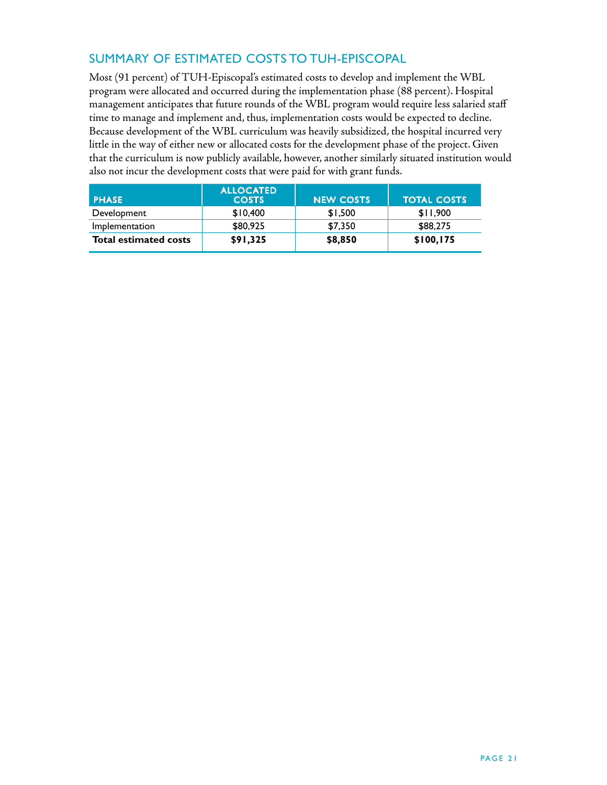## Summary of Estimated Costs to TUH-Episcopal

Most (91 percent) of TUH-Episcopal's estimated costs to develop and implement the WBL program were allocated and occurred during the implementation phase (88 percent). Hospital management anticipates that future rounds of the WBL program would require less salaried staff time to manage and implement and, thus, implementation costs would be expected to decline. Because development of the WBL curriculum was heavily subsidized, the hospital incurred very little in the way of either new or allocated costs for the development phase of the project. Given that the curriculum is now publicly available, however, another similarly situated institution would also not incur the development costs that were paid for with grant funds.

| <b>PHASE</b>                 | <b>ALLOCATED</b><br><b>COSTS</b> | <b>NEW COSTS</b> | <b>TOTAL COSTS</b> |
|------------------------------|----------------------------------|------------------|--------------------|
| Development                  | \$10,400                         | \$1,500          | \$11.900           |
| Implementation               | \$80,925                         | \$7,350          | \$88,275           |
| <b>Total estimated costs</b> | \$91,325                         | \$8,850          | \$100, 175         |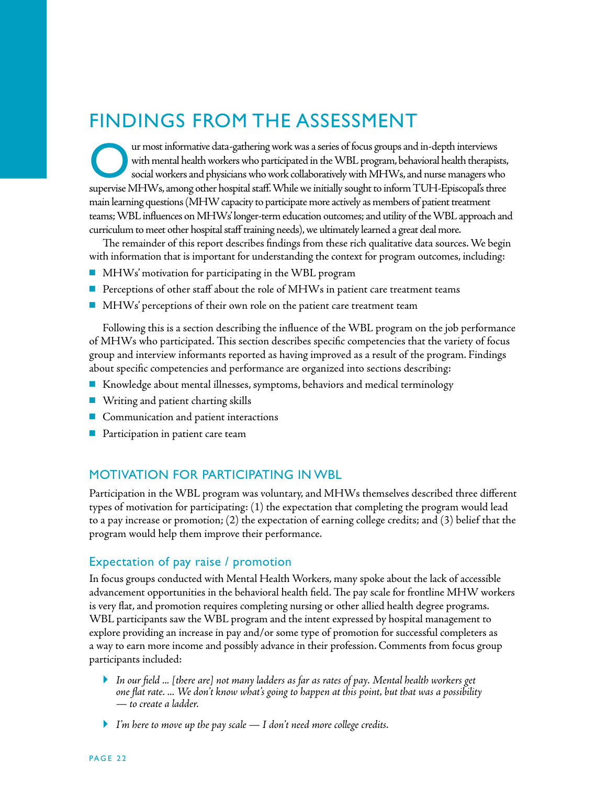## Findings from the Assessment

ur most informative data-gathering work was a series of focus groups and in-depth interviews with mental health workers who participated in the WBL program, behavioral health therapists, social workers and physicians who work collaboratively with MHWs, and nurse managers who supervise MHWs, among other hospital staff. While we initially sought to inform TUH-Episcopal's three main learning questions (MHW capacity to participate more actively as members of patient treatment teams; WBL influences on MHWs' longer-term education outcomes; and utility of the WBL approach and curriculum to meet other hospital staff training needs), we ultimately learned a great deal more.

The remainder of this report describes findings from these rich qualitative data sources. We begin with information that is important for understanding the context for program outcomes, including:

- $\blacksquare$  MHWs' motivation for participating in the WBL program
- $\blacksquare$  Perceptions of other staff about the role of MHWs in patient care treatment teams
- $\blacksquare$  MHWs' perceptions of their own role on the patient care treatment team

Following this is a section describing the influence of the WBL program on the job performance of MHWs who participated. This section describes specific competencies that the variety of focus group and interview informants reported as having improved as a result of the program. Findings about specific competencies and performance are organized into sections describing:

- n Knowledge about mental illnesses, symptoms, behaviors and medical terminology
- $\blacksquare$  Writing and patient charting skills
- $\blacksquare$  Communication and patient interactions
- $\blacksquare$  Participation in patient care team

## Motivation for Participating in WBL

Participation in the WBL program was voluntary, and MHWs themselves described three different types of motivation for participating: (1) the expectation that completing the program would lead to a pay increase or promotion; (2) the expectation of earning college credits; and (3) belief that the program would help them improve their performance.

#### Expectation of pay raise / promotion

In focus groups conducted with Mental Health Workers, many spoke about the lack of accessible advancement opportunities in the behavioral health field. The pay scale for frontline MHW workers is very flat, and promotion requires completing nursing or other allied health degree programs. WBL participants saw the WBL program and the intent expressed by hospital management to explore providing an increase in pay and/or some type of promotion for successful completers as a way to earn more income and possibly advance in their profession. Comments from focus group participants included:

- *In our field ... [there are] not many ladders as far as rates of pay. Mental health workers get one flat rate. ... We don't know what's going to happen at this point, but that was a possibility — to create a ladder.*
- *I'm here to move up the pay scale I don't need more college credits.*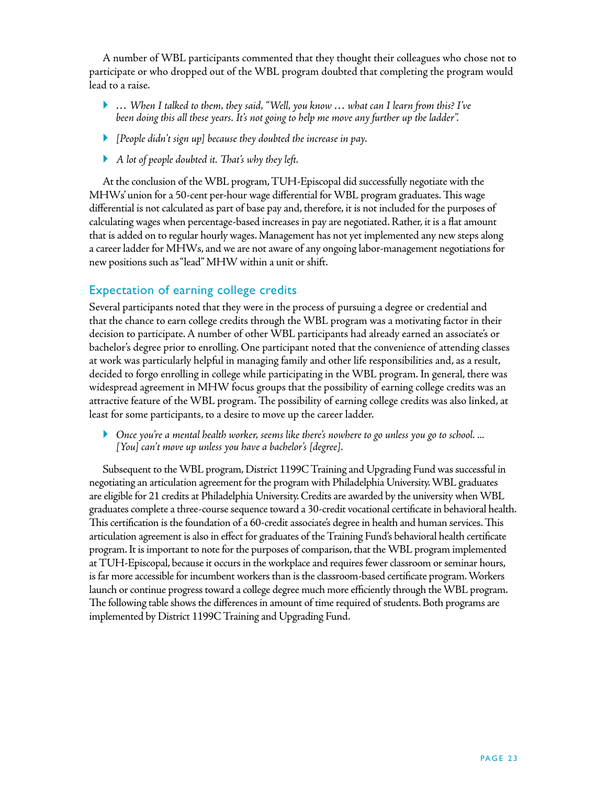A number of WBL participants commented that they thought their colleagues who chose not to participate or who dropped out of the WBL program doubted that completing the program would lead to a raise.

- *… When I talked to them, they said, "Well, you know … what can I learn from this? I've been doing this all these years. It's not going to help me move any further up the ladder".*
- *[People didn't sign up] because they doubted the increase in pay.*
- *A lot of people doubted it. That's why they left.*

At the conclusion of the WBL program, TUH-Episcopal did successfully negotiate with the MHWs' union for a 50-cent per-hour wage differential for WBL program graduates. This wage differential is not calculated as part of base pay and, therefore, it is not included for the purposes of calculating wages when percentage-based increases in pay are negotiated. Rather, it is a flat amount that is added on to regular hourly wages. Management has not yet implemented any new steps along a career ladder for MHWs, and we are not aware of any ongoing labor-management negotiations for new positions such as "lead" MHW within a unit or shift.

## Expectation of earning college credits

Several participants noted that they were in the process of pursuing a degree or credential and that the chance to earn college credits through the WBL program was a motivating factor in their decision to participate. A number of other WBL participants had already earned an associate's or bachelor's degree prior to enrolling. One participant noted that the convenience of attending classes at work was particularly helpful in managing family and other life responsibilities and, as a result, decided to forgo enrolling in college while participating in the WBL program. In general, there was widespread agreement in MHW focus groups that the possibility of earning college credits was an attractive feature of the WBL program. The possibility of earning college credits was also linked, at least for some participants, to a desire to move up the career ladder.

 *Once you're a mental health worker, seems like there's nowhere to go unless you go to school. ... [You] can't move up unless you have a bachelor's [degree].* 

Subsequent to the WBL program, District 1199C Training and Upgrading Fund was successful in negotiating an articulation agreement for the program with Philadelphia University. WBL graduates are eligible for 21 credits at Philadelphia University. Credits are awarded by the university when WBL graduates complete a three-course sequence toward a 30-credit vocational certificate in behavioral health. This certification is the foundation of a 60-credit associate's degree in health and human services. This articulation agreement is also in effect for graduates of the Training Fund's behavioral health certificate program. It is important to note for the purposes of comparison, that the WBL program implemented at TUH-Episcopal, because it occurs in the workplace and requires fewer classroom or seminar hours, is far more accessible for incumbent workers than is the classroom-based certificate program. Workers launch or continue progress toward a college degree much more efficiently through the WBL program. The following table shows the differences in amount of time required of students. Both programs are implemented by District 1199C Training and Upgrading Fund.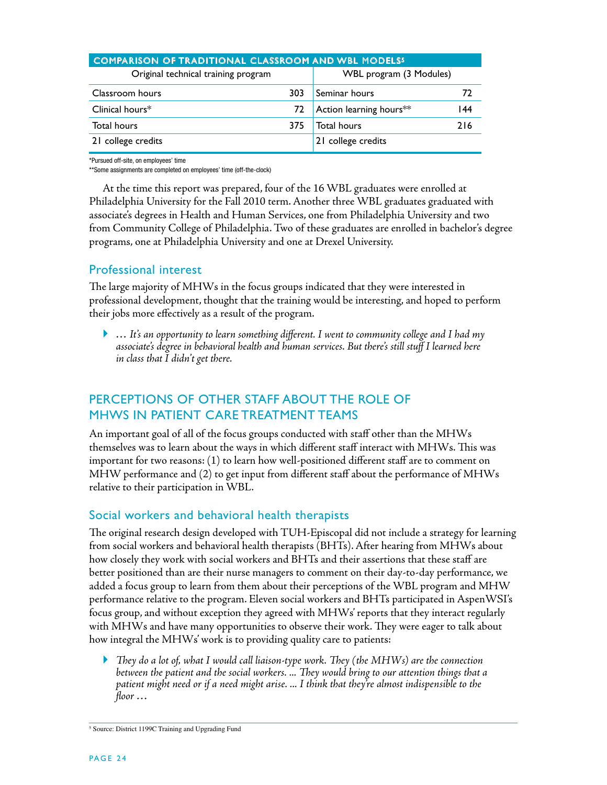| <b>COMPARISON OF TRADITIONAL CLASSROOM AND WBL MODELS5</b> |     |                                     |     |  |
|------------------------------------------------------------|-----|-------------------------------------|-----|--|
| Original technical training program                        |     | WBL program (3 Modules)             |     |  |
| Classroom hours                                            | 303 | Seminar hours                       | 72  |  |
| Clinical hours $*$                                         | 72  | Action learning hours <sup>**</sup> | 144 |  |
| <b>Total hours</b>                                         | 375 | <b>Total hours</b>                  | 216 |  |
| 21 college credits                                         |     | 21 college credits                  |     |  |

\*Pursued off-site, on employees' time

\*\*Some assignments are completed on employees' time (off-the-clock)

At the time this report was prepared, four of the 16 WBL graduates were enrolled at Philadelphia University for the Fall 2010 term. Another three WBL graduates graduated with associate's degrees in Health and Human Services, one from Philadelphia University and two from Community College of Philadelphia. Two of these graduates are enrolled in bachelor's degree programs, one at Philadelphia University and one at Drexel University.

### Professional interest

The large majority of MHWs in the focus groups indicated that they were interested in professional development, thought that the training would be interesting, and hoped to perform their jobs more effectively as a result of the program.

 *… It's an opportunity to learn something different. I went to community college and I had my associate's degree in behavioral health and human services. But there's still stuff I learned here in class that I didn't get there.*

## Perceptions of other Staff about the Role of MHWs in Patient Care Treatment Teams

An important goal of all of the focus groups conducted with staff other than the MHWs themselves was to learn about the ways in which different staff interact with MHWs. This was important for two reasons: (1) to learn how well-positioned different staff are to comment on MHW performance and (2) to get input from different staff about the performance of MHWs relative to their participation in WBL.

### Social workers and behavioral health therapists

The original research design developed with TUH-Episcopal did not include a strategy for learning from social workers and behavioral health therapists (BHTs). After hearing from MHWs about how closely they work with social workers and BHTs and their assertions that these staff are better positioned than are their nurse managers to comment on their day-to-day performance, we added a focus group to learn from them about their perceptions of the WBL program and MHW performance relative to the program. Eleven social workers and BHTs participated in AspenWSI's focus group, and without exception they agreed with MHWs' reports that they interact regularly with MHWs and have many opportunities to observe their work. They were eager to talk about how integral the MHWs' work is to providing quality care to patients:

 *They do a lot of, what I would call liaison-type work. They (the MHWs) are the connection between the patient and the social workers. ... They would bring to our attention things that a patient might need or if a need might arise. ... I think that they're almost indispensible to the floor …* 

<sup>&</sup>lt;sup>5</sup> Source: District 1199C Training and Upgrading Fund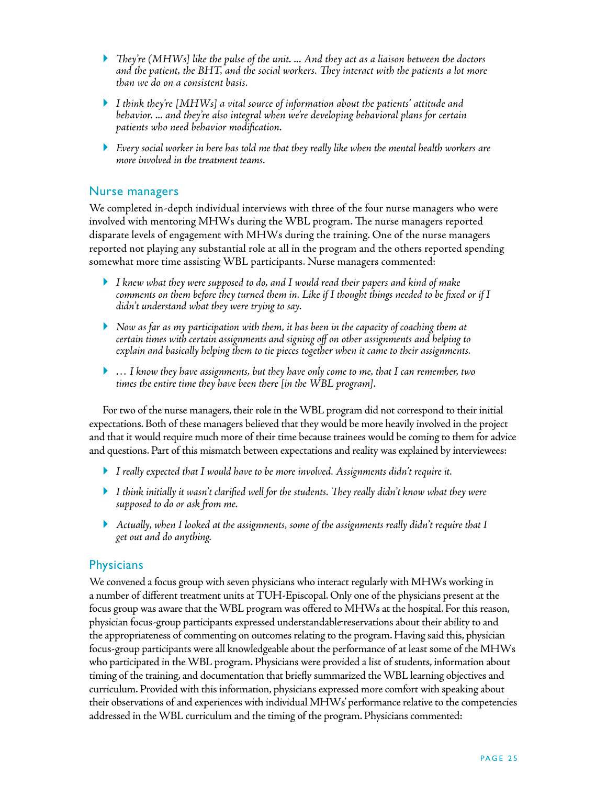- *They're (MHWs] like the pulse of the unit. ... And they act as a liaison between the doctors and the patient, the BHT, and the social workers. They interact with the patients a lot more than we do on a consistent basis.*
- *I think they're [MHWs] a vital source of information about the patients' attitude and behavior. ... and they're also integral when we're developing behavioral plans for certain patients who need behavior modification.*
- *Every social worker in here has told me that they really like when the mental health workers are more involved in the treatment teams.*

#### Nurse managers

We completed in-depth individual interviews with three of the four nurse managers who were involved with mentoring MHWs during the WBL program. The nurse managers reported disparate levels of engagement with MHWs during the training. One of the nurse managers reported not playing any substantial role at all in the program and the others reported spending somewhat more time assisting WBL participants. Nurse managers commented:

- *I knew what they were supposed to do, and I would read their papers and kind of make comments on them before they turned them in. Like if I thought things needed to be fixed or if I didn't understand what they were trying to say.*
- *Now as far as my participation with them, it has been in the capacity of coaching them at certain times with certain assignments and signing off on other assignments and helping to explain and basically helping them to tie pieces together when it came to their assignments.*
- *… I know they have assignments, but they have only come to me, that I can remember, two times the entire time they have been there [in the WBL program].*

For two of the nurse managers, their role in the WBL program did not correspond to their initial expectations. Both of these managers believed that they would be more heavily involved in the project and that it would require much more of their time because trainees would be coming to them for advice and questions. Part of this mismatch between expectations and reality was explained by interviewees:

- *I really expected that I would have to be more involved. Assignments didn't require it.*
- *I think initially it wasn't clarified well for the students. They really didn't know what they were supposed to do or ask from me.*
- *Actually, when I looked at the assignments, some of the assignments really didn't require that I get out and do anything.*

#### **Physicians**

We convened a focus group with seven physicians who interact regularly with MHWs working in a number of different treatment units at TUH-Episcopal. Only one of the physicians present at the focus group was aware that the WBL program was offered to MHWs at the hospital. For this reason, physician focus-group participants expressed understandablereservations about their ability to and the appropriateness of commenting on outcomes relating to the program. Having said this, physician focus-group participants were all knowledgeable about the performance of at least some of the MHWs who participated in the WBL program. Physicians were provided a list of students, information about timing of the training, and documentation that briefly summarized the WBL learning objectives and curriculum. Provided with this information, physicians expressed more comfort with speaking about their observations of and experiences with individual MHWs' performance relative to the competencies addressed in the WBL curriculum and the timing of the program. Physicians commented: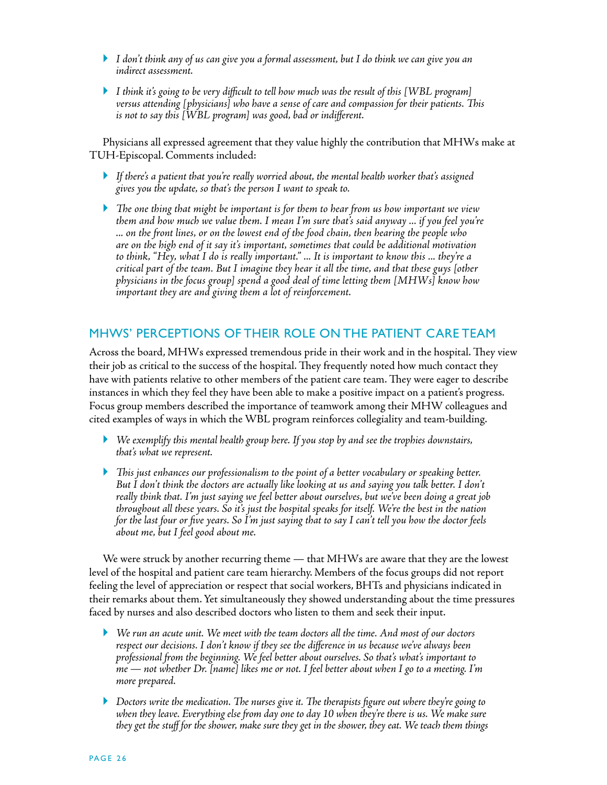- *I don't think any of us can give you a formal assessment, but I do think we can give you an indirect assessment.*
- *I think it's going to be very difficult to tell how much was the result of this [WBL program] versus attending [physicians] who have a sense of care and compassion for their patients. This is not to say this [WBL program] was good, bad or indifferent.*

Physicians all expressed agreement that they value highly the contribution that MHWs make at TUH-Episcopal. Comments included:

- *If there's a patient that you're really worried about, the mental health worker that's assigned gives you the update, so that's the person I want to speak to.*
- *The one thing that might be important is for them to hear from us how important we view them and how much we value them. I mean I'm sure that's said anyway ... if you feel you're ... on the front lines, or on the lowest end of the food chain, then hearing the people who are on the high end of it say it's important, sometimes that could be additional motivation to think, "Hey, what I do is really important." ... It is important to know this ... they're a critical part of the team. But I imagine they hear it all the time, and that these guys [other physicians in the focus group] spend a good deal of time letting them [MHWs] know how important they are and giving them a lot of reinforcement.*

## MHWs' Perceptions of their Role on the Patient Care Team

Across the board, MHWs expressed tremendous pride in their work and in the hospital. They view their job as critical to the success of the hospital. They frequently noted how much contact they have with patients relative to other members of the patient care team. They were eager to describe instances in which they feel they have been able to make a positive impact on a patient's progress. Focus group members described the importance of teamwork among their MHW colleagues and cited examples of ways in which the WBL program reinforces collegiality and team-building.

- *We exemplify this mental health group here. If you stop by and see the trophies downstairs, that's what we represent.*
- *This just enhances our professionalism to the point of a better vocabulary or speaking better. But I don't think the doctors are actually like looking at us and saying you talk better. I don't really think that. I'm just saying we feel better about ourselves, but we've been doing a great job throughout all these years. So it's just the hospital speaks for itself. We're the best in the nation for the last four or five years. So I'm just saying that to say I can't tell you how the doctor feels about me, but I feel good about me.*

We were struck by another recurring theme — that MHWs are aware that they are the lowest level of the hospital and patient care team hierarchy. Members of the focus groups did not report feeling the level of appreciation or respect that social workers, BHTs and physicians indicated in their remarks about them. Yet simultaneously they showed understanding about the time pressures faced by nurses and also described doctors who listen to them and seek their input.

- *We run an acute unit. We meet with the team doctors all the time. And most of our doctors respect our decisions. I don't know if they see the difference in us because we've always been professional from the beginning. We feel better about ourselves. So that's what's important to me — not whether Dr. [name] likes me or not. I feel better about when I go to a meeting. I'm more prepared.*
- *Doctors write the medication. The nurses give it. The therapists figure out where they're going to when they leave. Everything else from day one to day 10 when they're there is us. We make sure they get the stuff for the shower, make sure they get in the shower, they eat. We teach them things*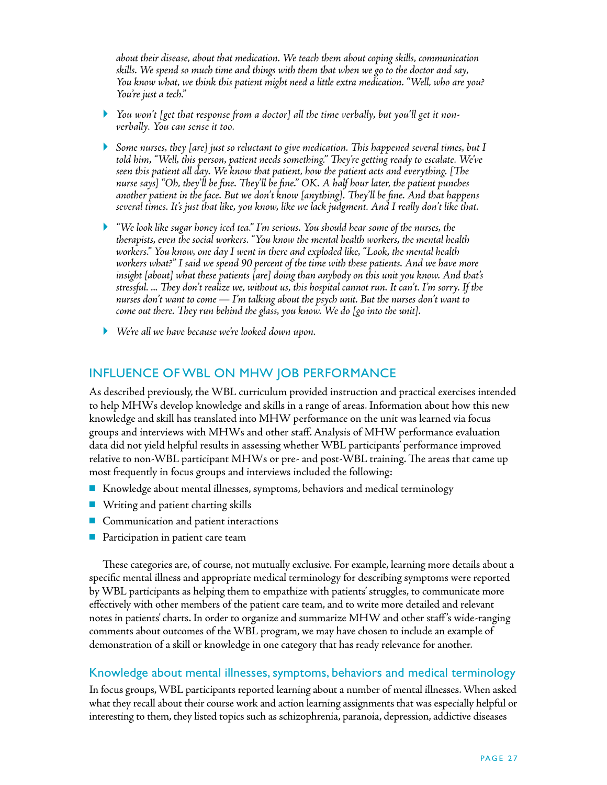*about their disease, about that medication. We teach them about coping skills, communication skills. We spend so much time and things with them that when we go to the doctor and say, You know what, we think this patient might need a little extra medication. "Well, who are you? You're just a tech."*

- *You won't [get that response from a doctor] all the time verbally, but you'll get it nonverbally. You can sense it too.*
- *Some nurses, they [are] just so reluctant to give medication. This happened several times, but I told him, "Well, this person, patient needs something." They're getting ready to escalate. We've seen this patient all day. We know that patient, how the patient acts and everything. [The nurse says] "Oh, they'll be fine. They'll be fine." OK. A half hour later, the patient punches another patient in the face. But we don't know [anything]. They'll be fine. And that happens several times. It's just that like, you know, like we lack judgment. And I really don't like that.*
- *"We look like sugar honey iced tea." I'm serious. You should hear some of the nurses, the therapists, even the social workers. "You know the mental health workers, the mental health workers." You know, one day I went in there and exploded like, "Look, the mental health workers what?" I said we spend 90 percent of the time with these patients. And we have more insight [about] what these patients [are] doing than anybody on this unit you know. And that's stressful. ... They don't realize we, without us, this hospital cannot run. It can't. I'm sorry. If the nurses don't want to come — I'm talking about the psych unit. But the nurses don't want to come out there. They run behind the glass, you know. We do [go into the unit].*
- *We're all we have because we're looked down upon.*

### Influence of WBL on MHW Job Performance

As described previously, the WBL curriculum provided instruction and practical exercises intended to help MHWs develop knowledge and skills in a range of areas. Information about how this new knowledge and skill has translated into MHW performance on the unit was learned via focus groups and interviews with MHWs and other staff. Analysis of MHW performance evaluation data did not yield helpful results in assessing whether WBL participants' performance improved relative to non-WBL participant MHWs or pre- and post-WBL training. The areas that came up most frequently in focus groups and interviews included the following:

- n Knowledge about mental illnesses, symptoms, behaviors and medical terminology
- $\blacksquare$  Writing and patient charting skills
- $\blacksquare$  Communication and patient interactions
- $\blacksquare$  Participation in patient care team

These categories are, of course, not mutually exclusive. For example, learning more details about a specific mental illness and appropriate medical terminology for describing symptoms were reported by WBL participants as helping them to empathize with patients' struggles, to communicate more effectively with other members of the patient care team, and to write more detailed and relevant notes in patients' charts. In order to organize and summarize MHW and other staff 's wide-ranging comments about outcomes of the WBL program, we may have chosen to include an example of demonstration of a skill or knowledge in one category that has ready relevance for another.

#### Knowledge about mental illnesses, symptoms, behaviors and medical terminology

In focus groups, WBL participants reported learning about a number of mental illnesses. When asked what they recall about their course work and action learning assignments that was especially helpful or interesting to them, they listed topics such as schizophrenia, paranoia, depression, addictive diseases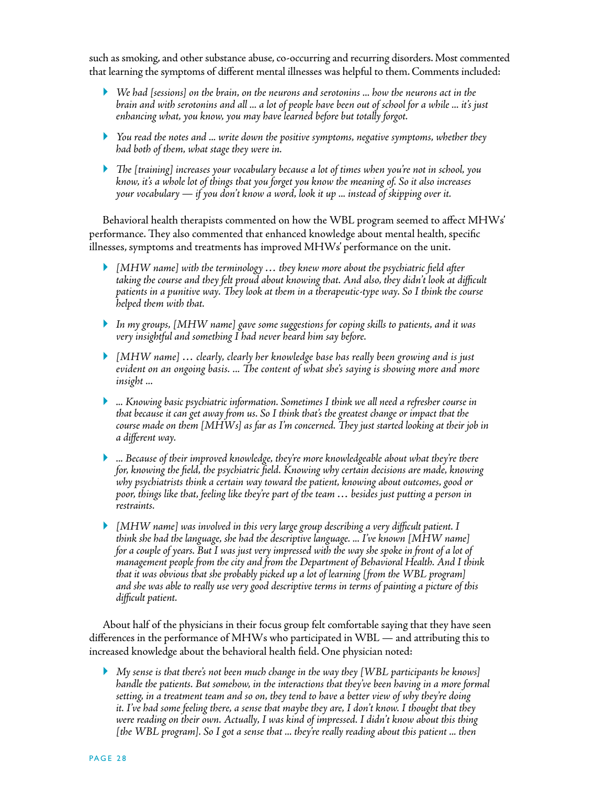such as smoking, and other substance abuse, co-occurring and recurring disorders. Most commented that learning the symptoms of different mental illnesses was helpful to them. Comments included:

- *We had [sessions] on the brain, on the neurons and serotonins ... how the neurons act in the brain and with serotonins and all ... a lot of people have been out of school for a while ... it's just enhancing what, you know, you may have learned before but totally forgot.*
- *You read the notes and ... write down the positive symptoms, negative symptoms, whether they had both of them, what stage they were in.*
- *The [training] increases your vocabulary because a lot of times when you're not in school, you know, it's a whole lot of things that you forget you know the meaning of. So it also increases your vocabulary — if you don't know a word, look it up ... instead of skipping over it.*

Behavioral health therapists commented on how the WBL program seemed to affect MHWs' performance. They also commented that enhanced knowledge about mental health, specific illnesses, symptoms and treatments has improved MHWs' performance on the unit.

- *[MHW name] with the terminology … they knew more about the psychiatric field after taking the course and they felt proud about knowing that. And also, they didn't look at difficult patients in a punitive way. They look at them in a therapeutic-type way. So I think the course helped them with that.*
- *In my groups, [MHW name] gave some suggestions for coping skills to patients, and it was very insightful and something I had never heard him say before.*
- *[MHW name] … clearly, clearly her knowledge base has really been growing and is just evident on an ongoing basis. ... The content of what she's saying is showing more and more insight ...*
- *... Knowing basic psychiatric information. Sometimes I think we all need a refresher course in that because it can get away from us. So I think that's the greatest change or impact that the course made on them [MHWs] as far as I'm concerned. They just started looking at their job in a different way.*
- *... Because of their improved knowledge, they're more knowledgeable about what they're there for, knowing the field, the psychiatric field. Knowing why certain decisions are made, knowing why psychiatrists think a certain way toward the patient, knowing about outcomes, good or poor, things like that, feeling like they're part of the team … besides just putting a person in restraints.*
- *[MHW name] was involved in this very large group describing a very difficult patient. I think she had the language, she had the descriptive language. ... I've known [MHW name] for a couple of years. But I was just very impressed with the way she spoke in front of a lot of management people from the city and from the Department of Behavioral Health. And I think that it was obvious that she probably picked up a lot of learning [from the WBL program] and she was able to really use very good descriptive terms in terms of painting a picture of this difficult patient.*

About half of the physicians in their focus group felt comfortable saying that they have seen differences in the performance of MHWs who participated in WBL — and attributing this to increased knowledge about the behavioral health field. One physician noted:

 *My sense is that there's not been much change in the way they [WBL participants he knows] handle the patients. But somehow, in the interactions that they've been having in a more formal setting, in a treatment team and so on, they tend to have a better view of why they're doing it. I've had some feeling there, a sense that maybe they are, I don't know. I thought that they were reading on their own. Actually, I was kind of impressed. I didn't know about this thing [the WBL program]. So I got a sense that ... they're really reading about this patient ... then*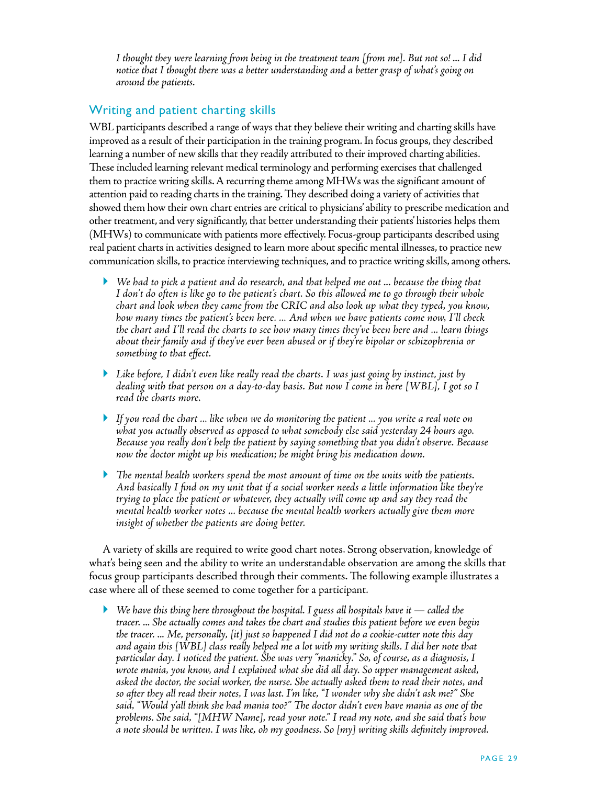*I thought they were learning from being in the treatment team [from me]. But not so! ... I did notice that I thought there was a better understanding and a better grasp of what's going on around the patients.* 

## Writing and patient charting skills

WBL participants described a range of ways that they believe their writing and charting skills have improved as a result of their participation in the training program. In focus groups, they described learning a number of new skills that they readily attributed to their improved charting abilities. These included learning relevant medical terminology and performing exercises that challenged them to practice writing skills. A recurring theme among MHWs was the significant amount of attention paid to reading charts in the training. They described doing a variety of activities that showed them how their own chart entries are critical to physicians' ability to prescribe medication and other treatment, and very significantly, that better understanding their patients' histories helps them (MHWs) to communicate with patients more effectively. Focus-group participants described using real patient charts in activities designed to learn more about specific mental illnesses, to practice new communication skills, to practice interviewing techniques, and to practice writing skills, among others.

- *We had to pick a patient and do research, and that helped me out ... because the thing that I don't do often is like go to the patient's chart. So this allowed me to go through their whole chart and look when they came from the CRIC and also look up what they typed, you know, how many times the patient's been here. ... And when we have patients come now, I'll check the chart and I'll read the charts to see how many times they've been here and ... learn things about their family and if they've ever been abused or if they're bipolar or schizophrenia or something to that effect.*
- *Like before, I didn't even like really read the charts. I was just going by instinct, just by dealing with that person on a day-to-day basis. But now I come in here [WBL], I got so I read the charts more.*
- *If you read the chart ... like when we do monitoring the patient ... you write a real note on what you actually observed as opposed to what somebody else said yesterday 24 hours ago. Because you really don't help the patient by saying something that you didn't observe. Because now the doctor might up his medication; he might bring his medication down.*
- *The mental health workers spend the most amount of time on the units with the patients. And basically I find on my unit that if a social worker needs a little information like they're trying to place the patient or whatever, they actually will come up and say they read the mental health worker notes ... because the mental health workers actually give them more insight of whether the patients are doing better.*

A variety of skills are required to write good chart notes. Strong observation, knowledge of what's being seen and the ability to write an understandable observation are among the skills that focus group participants described through their comments. The following example illustrates a case where all of these seemed to come together for a participant.

 *We have this thing here throughout the hospital. I guess all hospitals have it — called the tracer. ... She actually comes and takes the chart and studies this patient before we even begin the tracer. ... Me, personally, [it] just so happened I did not do a cookie-cutter note this day and again this [WBL] class really helped me a lot with my writing skills. I did her note that particular day. I noticed the patient. She was very "manicky." So, of course, as a diagnosis, I wrote mania, you know, and I explained what she did all day. So upper management asked, asked the doctor, the social worker, the nurse. She actually asked them to read their notes, and so after they all read their notes, I was last. I'm like, "I wonder why she didn't ask me?" She said, "Would y'all think she had mania too?" The doctor didn't even have mania as one of the problems. She said, "[MHW Name], read your note." I read my note, and she said that's how a note should be written. I was like, oh my goodness. So [my] writing skills definitely improved.*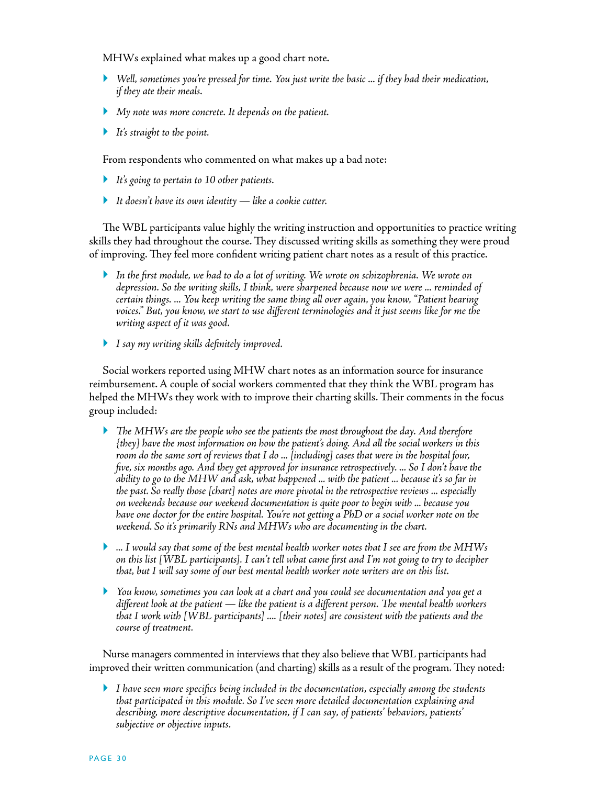MHWs explained what makes up a good chart note.

- *Well, sometimes you're pressed for time. You just write the basic ... if they had their medication, if they ate their meals.*
- *My note was more concrete. It depends on the patient.*
- *It's straight to the point.*

From respondents who commented on what makes up a bad note:

- *It's going to pertain to 10 other patients.*
- *It doesn't have its own identity like a cookie cutter.*

The WBL participants value highly the writing instruction and opportunities to practice writing skills they had throughout the course. They discussed writing skills as something they were proud of improving. They feel more confident writing patient chart notes as a result of this practice.

- *In the first module, we had to do a lot of writing. We wrote on schizophrenia. We wrote on depression. So the writing skills, I think, were sharpened because now we were ... reminded of certain things. ... You keep writing the same thing all over again, you know, "Patient hearing voices." But, you know, we start to use different terminologies and it just seems like for me the writing aspect of it was good.*
- *I say my writing skills definitely improved.*

Social workers reported using MHW chart notes as an information source for insurance reimbursement. A couple of social workers commented that they think the WBL program has helped the MHWs they work with to improve their charting skills. Their comments in the focus group included:

- *The MHWs are the people who see the patients the most throughout the day. And therefore {they] have the most information on how the patient's doing. And all the social workers in this room do the same sort of reviews that I do ... [including] cases that were in the hospital four, five, six months ago. And they get approved for insurance retrospectively. ... So I don't have the ability to go to the MHW and ask, what happened ... with the patient ... because it's so far in the past. So really those [chart] notes are more pivotal in the retrospective reviews ... especially on weekends because our weekend documentation is quite poor to begin with ... because you have one doctor for the entire hospital. You're not getting a PhD or a social worker note on the weekend. So it's primarily RNs and MHWs who are documenting in the chart.*
- *... I would say that some of the best mental health worker notes that I see are from the MHWs on this list [WBL participants]. I can't tell what came first and I'm not going to try to decipher that, but I will say some of our best mental health worker note writers are on this list.*
- *You know, sometimes you can look at a chart and you could see documentation and you get a different look at the patient — like the patient is a different person. The mental health workers that I work with [WBL participants] .... [their notes] are consistent with the patients and the course of treatment.*

Nurse managers commented in interviews that they also believe that WBL participants had improved their written communication (and charting) skills as a result of the program. They noted:

 *I have seen more specifics being included in the documentation, especially among the students that participated in this module. So I've seen more detailed documentation explaining and describing, more descriptive documentation, if I can say, of patients' behaviors, patients' subjective or objective inputs.*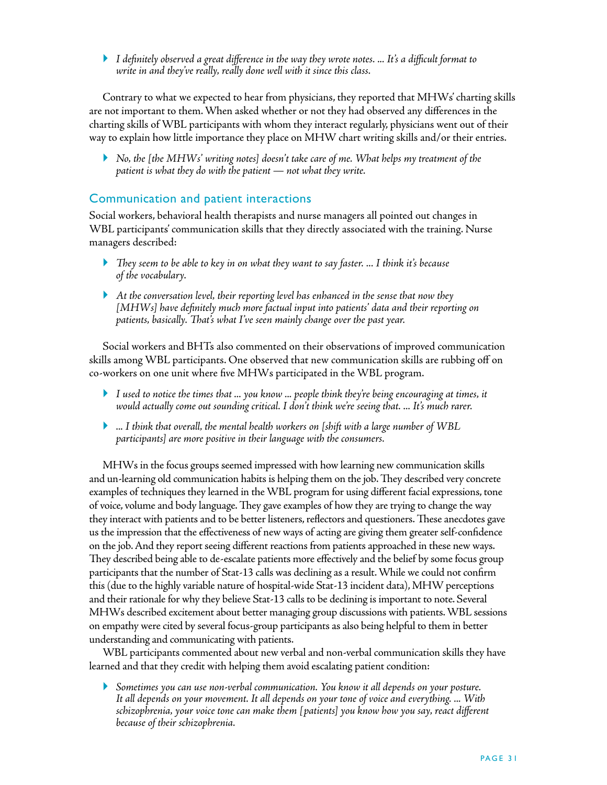*I definitely observed a great difference in the way they wrote notes. ... It's a difficult format to write in and they've really, really done well with it since this class.* 

Contrary to what we expected to hear from physicians, they reported that MHWs' charting skills are not important to them. When asked whether or not they had observed any differences in the charting skills of WBL participants with whom they interact regularly, physicians went out of their way to explain how little importance they place on MHW chart writing skills and/or their entries.

 *No, the [the MHWs' writing notes] doesn't take care of me. What helps my treatment of the patient is what they do with the patient — not what they write.* 

#### Communication and patient interactions

Social workers, behavioral health therapists and nurse managers all pointed out changes in WBL participants' communication skills that they directly associated with the training. Nurse managers described:

- *They seem to be able to key in on what they want to say faster. ... I think it's because of the vocabulary.*
- *At the conversation level, their reporting level has enhanced in the sense that now they [MHWs] have definitely much more factual input into patients' data and their reporting on patients, basically. That's what I've seen mainly change over the past year.*

Social workers and BHTs also commented on their observations of improved communication skills among WBL participants. One observed that new communication skills are rubbing off on co-workers on one unit where five MHWs participated in the WBL program.

- *I used to notice the times that ... you know ... people think they're being encouraging at times, it would actually come out sounding critical. I don't think we're seeing that. ... It's much rarer.*
- *... I think that overall, the mental health workers on [shift with a large number of WBL participants] are more positive in their language with the consumers.*

MHWs in the focus groups seemed impressed with how learning new communication skills and un-learning old communication habits is helping them on the job. They described very concrete examples of techniques they learned in the WBL program for using different facial expressions, tone of voice, volume and body language. They gave examples of how they are trying to change the way they interact with patients and to be better listeners, reflectors and questioners. These anecdotes gave us the impression that the effectiveness of new ways of acting are giving them greater self-confidence on the job. And they report seeing different reactions from patients approached in these new ways. They described being able to de-escalate patients more effectively and the belief by some focus group participants that the number of Stat-13 calls was declining as a result. While we could not confirm this (due to the highly variable nature of hospital-wide Stat-13 incident data), MHW perceptions and their rationale for why they believe Stat-13 calls to be declining is important to note. Several MHWs described excitement about better managing group discussions with patients. WBL sessions on empathy were cited by several focus-group participants as also being helpful to them in better understanding and communicating with patients.

WBL participants commented about new verbal and non-verbal communication skills they have learned and that they credit with helping them avoid escalating patient condition:

 *Sometimes you can use non-verbal communication. You know it all depends on your posture. It all depends on your movement. It all depends on your tone of voice and everything. ... With schizophrenia, your voice tone can make them [patients] you know how you say, react different because of their schizophrenia.*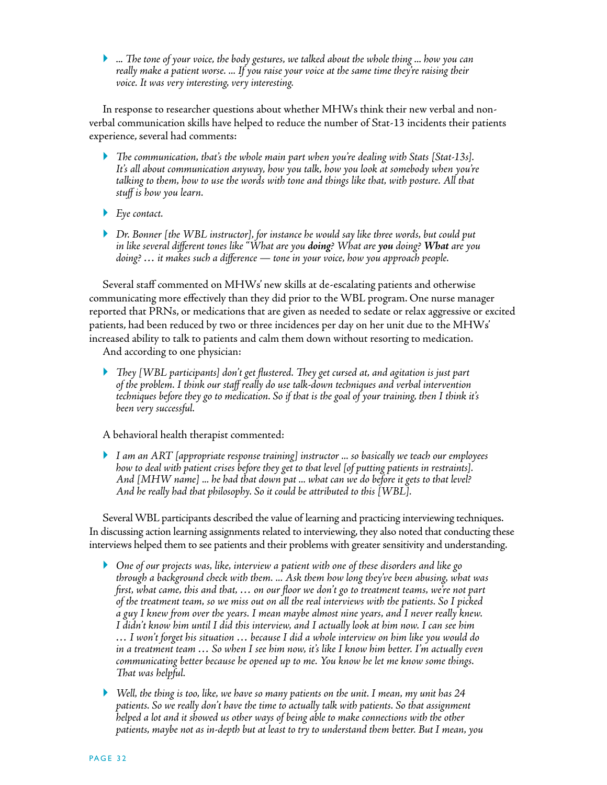*... The tone of your voice, the body gestures, we talked about the whole thing ... how you can really make a patient worse. ... If you raise your voice at the same time they're raising their voice. It was very interesting, very interesting.*

In response to researcher questions about whether MHWs think their new verbal and nonverbal communication skills have helped to reduce the number of Stat-13 incidents their patients experience, several had comments:

- *The communication, that's the whole main part when you're dealing with Stats [Stat-13s]. It's all about communication anyway, how you talk, how you look at somebody when you're talking to them, how to use the words with tone and things like that, with posture. All that stuff is how you learn.*
- *Eye contact.*
- *Dr. Bonner [the WBL instructor], for instance he would say like three words, but could put in like several different tones like "What are you doing? What are you doing? What are you doing? … it makes such a difference — tone in your voice, how you approach people.*

Several staff commented on MHWs' new skills at de-escalating patients and otherwise communicating more effectively than they did prior to the WBL program. One nurse manager reported that PRNs, or medications that are given as needed to sedate or relax aggressive or excited patients, had been reduced by two or three incidences per day on her unit due to the MHWs' increased ability to talk to patients and calm them down without resorting to medication. And according to one physician:

 *They [WBL participants] don't get flustered. They get cursed at, and agitation is just part of the problem. I think our staff really do use talk-down techniques and verbal intervention techniques before they go to medication. So if that is the goal of your training, then I think it's been very successful.* 

A behavioral health therapist commented:

 *I am an ART [appropriate response training] instructor ... so basically we teach our employees how to deal with patient crises before they get to that level [of putting patients in restraints]. And [MHW name] ... he had that down pat ... what can we do before it gets to that level? And he really had that philosophy. So it could be attributed to this [WBL].* 

Several WBL participants described the value of learning and practicing interviewing techniques. In discussing action learning assignments related to interviewing, they also noted that conducting these interviews helped them to see patients and their problems with greater sensitivity and understanding.

- *One of our projects was, like, interview a patient with one of these disorders and like go through a background check with them. ... Ask them how long they've been abusing, what was first, what came, this and that, … on our floor we don't go to treatment teams, we're not part of the treatment team, so we miss out on all the real interviews with the patients. So I picked a guy I knew from over the years. I mean maybe almost nine years, and I never really knew. I didn't know him until I did this interview, and I actually look at him now. I can see him … I won't forget his situation … because I did a whole interview on him like you would do in a treatment team … So when I see him now, it's like I know him better. I'm actually even communicating better because he opened up to me. You know he let me know some things. That was helpful.*
- *Well, the thing is too, like, we have so many patients on the unit. I mean, my unit has 24 patients. So we really don't have the time to actually talk with patients. So that assignment helped a lot and it showed us other ways of being able to make connections with the other patients, maybe not as in-depth but at least to try to understand them better. But I mean, you*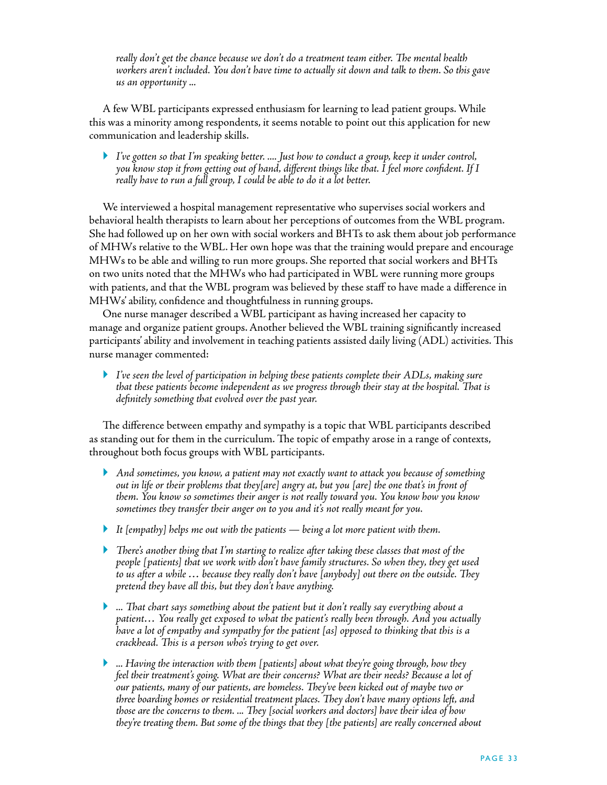*really don't get the chance because we don't do a treatment team either. The mental health workers aren't included. You don't have time to actually sit down and talk to them. So this gave us an opportunity ...* 

A few WBL participants expressed enthusiasm for learning to lead patient groups. While this was a minority among respondents, it seems notable to point out this application for new communication and leadership skills.

 *I've gotten so that I'm speaking better. .... Just how to conduct a group, keep it under control, you know stop it from getting out of hand, different things like that. I feel more confident. If I really have to run a full group, I could be able to do it a lot better.* 

We interviewed a hospital management representative who supervises social workers and behavioral health therapists to learn about her perceptions of outcomes from the WBL program. She had followed up on her own with social workers and BHTs to ask them about job performance of MHWs relative to the WBL. Her own hope was that the training would prepare and encourage MHWs to be able and willing to run more groups. She reported that social workers and BHTs on two units noted that the MHWs who had participated in WBL were running more groups with patients, and that the WBL program was believed by these staff to have made a difference in MHWs' ability, confidence and thoughtfulness in running groups.

One nurse manager described a WBL participant as having increased her capacity to manage and organize patient groups. Another believed the WBL training significantly increased participants' ability and involvement in teaching patients assisted daily living (ADL) activities. This nurse manager commented:

 *I've seen the level of participation in helping these patients complete their ADLs, making sure that these patients become independent as we progress through their stay at the hospital. That is definitely something that evolved over the past year.* 

The difference between empathy and sympathy is a topic that WBL participants described as standing out for them in the curriculum. The topic of empathy arose in a range of contexts, throughout both focus groups with WBL participants.

- *And sometimes, you know, a patient may not exactly want to attack you because of something out in life or their problems that they[are] angry at, but you [are] the one that's in front of them. You know so sometimes their anger is not really toward you. You know how you know sometimes they transfer their anger on to you and it's not really meant for you.*
- *It [empathy] helps me out with the patients being a lot more patient with them.*
- *There's another thing that I'm starting to realize after taking these classes that most of the people [patients] that we work with don't have family structures. So when they, they get used to us after a while … because they really don't have [anybody] out there on the outside. They pretend they have all this, but they don't have anything.*
- *... That chart says something about the patient but it don't really say everything about a patient… You really get exposed to what the patient's really been through. And you actually have a lot of empathy and sympathy for the patient [as] opposed to thinking that this is a crackhead. This is a person who's trying to get over.*
- *... Having the interaction with them [patients] about what they're going through, how they feel their treatment's going. What are their concerns? What are their needs? Because a lot of our patients, many of our patients, are homeless. They've been kicked out of maybe two or three boarding homes or residential treatment places. They don't have many options left, and those are the concerns to them. ... They [social workers and doctors] have their idea of how they're treating them. But some of the things that they [the patients] are really concerned about*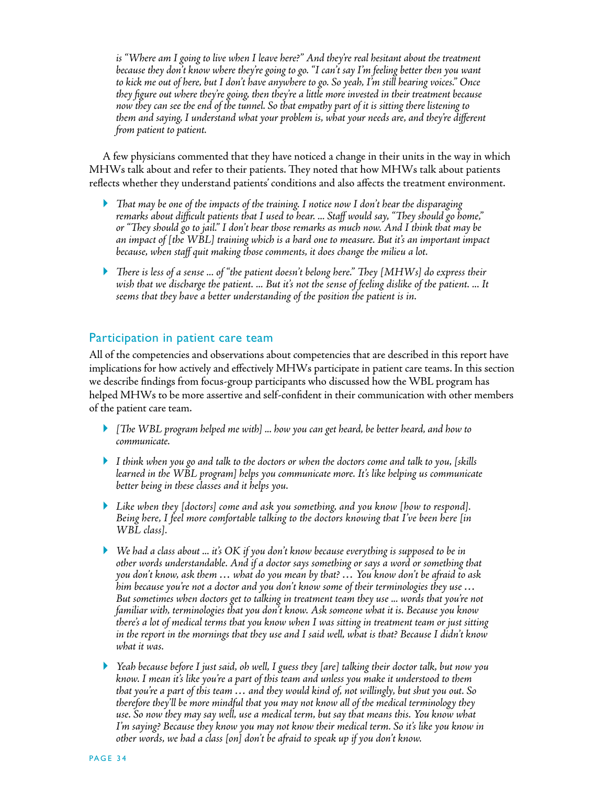is "Where am I going to live when I leave here?" And they're real hesitant about the treatment *because they don't know where they're going to go. "I can't say I'm feeling better then you want to kick me out of here, but I don't have anywhere to go. So yeah, I'm still hearing voices." Once they figure out where they're going, then they're a little more invested in their treatment because now they can see the end of the tunnel. So that empathy part of it is sitting there listening to them and saying, I understand what your problem is, what your needs are, and they're different from patient to patient.*

A few physicians commented that they have noticed a change in their units in the way in which MHWs talk about and refer to their patients. They noted that how MHWs talk about patients reflects whether they understand patients' conditions and also affects the treatment environment.

- *That may be one of the impacts of the training. I notice now I don't hear the disparaging remarks about difficult patients that I used to hear. ... Staff would say, "They should go home," or "They should go to jail." I don't hear those remarks as much now. And I think that may be an impact of [the WBL] training which is a hard one to measure. But it's an important impact because, when staff quit making those comments, it does change the milieu a lot.*
- *There is less of a sense ... of "the patient doesn't belong here." They [MHWs] do express their wish that we discharge the patient. ... But it's not the sense of feeling dislike of the patient. ... It seems that they have a better understanding of the position the patient is in.*

### Participation in patient care team

All of the competencies and observations about competencies that are described in this report have implications for how actively and effectively MHWs participate in patient care teams. In this section we describe findings from focus-group participants who discussed how the WBL program has helped MHWs to be more assertive and self-confident in their communication with other members of the patient care team.

- *[The WBL program helped me with] ... how you can get heard, be better heard, and how to communicate.*
- *I think when you go and talk to the doctors or when the doctors come and talk to you, [skills learned in the WBL program] helps you communicate more. It's like helping us communicate better being in these classes and it helps you.*
- *Like when they [doctors] come and ask you something, and you know [how to respond]. Being here, I feel more comfortable talking to the doctors knowing that I've been here [in WBL class].*
- *We had a class about ... it's OK if you don't know because everything is supposed to be in other words understandable. And if a doctor says something or says a word or something that you don't know, ask them … what do you mean by that? … You know don't be afraid to ask him because you're not a doctor and you don't know some of their terminologies they use … But sometimes when doctors get to talking in treatment team they use ... words that you're not familiar with, terminologies that you don't know. Ask someone what it is. Because you know there's a lot of medical terms that you know when I was sitting in treatment team or just sitting in the report in the mornings that they use and I said well, what is that? Because I didn't know what it was.*
- *Yeah because before I just said, oh well, I guess they [are] talking their doctor talk, but now you know. I mean it's like you're a part of this team and unless you make it understood to them that you're a part of this team … and they would kind of, not willingly, but shut you out. So therefore they'll be more mindful that you may not know all of the medical terminology they use. So now they may say well, use a medical term, but say that means this. You know what I'm saying? Because they know you may not know their medical term. So it's like you know in other words, we had a class [on] don't be afraid to speak up if you don't know.*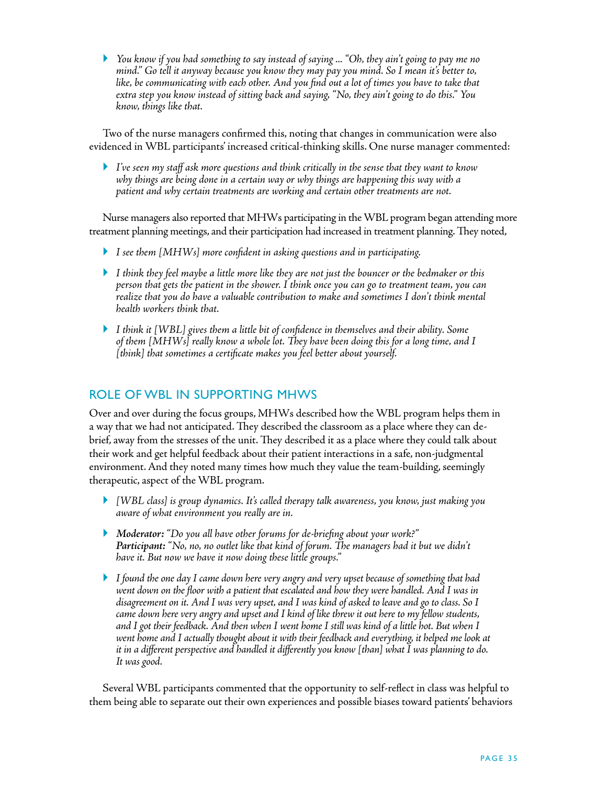*You know if you had something to say instead of saying ... "Oh, they ain't going to pay me no mind." Go tell it anyway because you know they may pay you mind. So I mean it's better to, like, be communicating with each other. And you find out a lot of times you have to take that extra step you know instead of sitting back and saying, "No, they ain't going to do this." You know, things like that.* 

Two of the nurse managers confirmed this, noting that changes in communication were also evidenced in WBL participants' increased critical-thinking skills. One nurse manager commented:

 *I've seen my staff ask more questions and think critically in the sense that they want to know why things are being done in a certain way or why things are happening this way with a patient and why certain treatments are working and certain other treatments are not.* 

Nurse managers also reported that MHWs participating in the WBL program began attending more treatment planning meetings, and their participation had increased in treatment planning. They noted,

- *I see them [MHWs] more confident in asking questions and in participating.*
- *I think they feel maybe a little more like they are not just the bouncer or the bedmaker or this person that gets the patient in the shower. I think once you can go to treatment team, you can realize that you do have a valuable contribution to make and sometimes I don't think mental health workers think that.*
- *I think it [WBL] gives them a little bit of confidence in themselves and their ability. Some of them [MHWs] really know a whole lot. They have been doing this for a long time, and I [think] that sometimes a certificate makes you feel better about yourself.*

### Role of WBL in Supporting MHWs

Over and over during the focus groups, MHWs described how the WBL program helps them in a way that we had not anticipated. They described the classroom as a place where they can debrief, away from the stresses of the unit. They described it as a place where they could talk about their work and get helpful feedback about their patient interactions in a safe, non-judgmental environment. And they noted many times how much they value the team-building, seemingly therapeutic, aspect of the WBL program.

- *[WBL class] is group dynamics. It's called therapy talk awareness, you know, just making you aware of what environment you really are in.*
- *Moderator: "Do you all have other forums for de-briefing about your work?" Participant: "No, no, no outlet like that kind of forum. The managers had it but we didn't have it. But now we have it now doing these little groups."*
- *I found the one day I came down here very angry and very upset because of something that had went down on the floor with a patient that escalated and how they were handled. And I was in disagreement on it. And I was very upset, and I was kind of asked to leave and go to class. So I came down here very angry and upset and I kind of like threw it out here to my fellow students, and I got their feedback. And then when I went home I still was kind of a little hot. But when I*  went home and I actually thought about it with their feedback and everything, it helped me look at *it in a different perspective and handled it differently you know [than] what I was planning to do. It was good.*

Several WBL participants commented that the opportunity to self-reflect in class was helpful to them being able to separate out their own experiences and possible biases toward patients' behaviors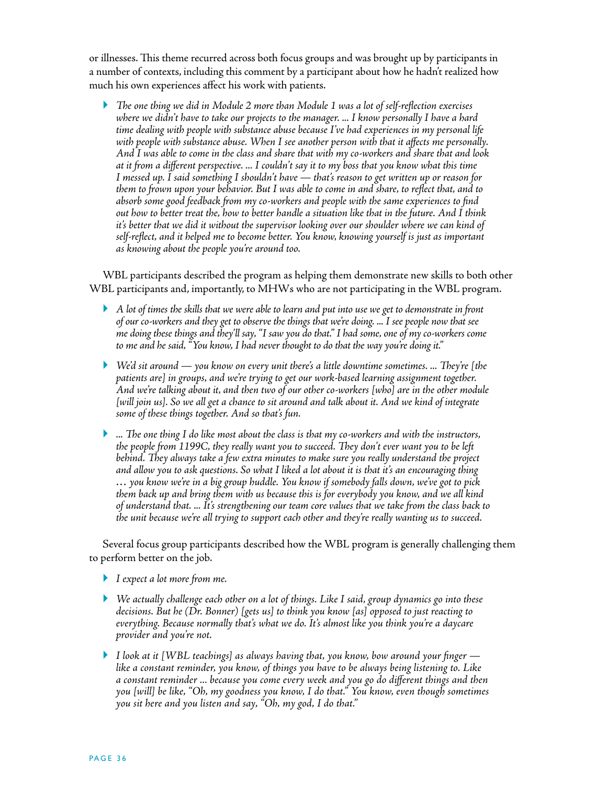or illnesses. This theme recurred across both focus groups and was brought up by participants in a number of contexts, including this comment by a participant about how he hadn't realized how much his own experiences affect his work with patients.

 *The one thing we did in Module 2 more than Module 1 was a lot of self-reflection exercises where we didn't have to take our projects to the manager. ... I know personally I have a hard time dealing with people with substance abuse because I've had experiences in my personal life with people with substance abuse. When I see another person with that it affects me personally. And I was able to come in the class and share that with my co-workers and share that and look at it from a different perspective. ... I couldn't say it to my boss that you know what this time I messed up. I said something I shouldn't have — that's reason to get written up or reason for them to frown upon your behavior. But I was able to come in and share, to reflect that, and to absorb some good feedback from my co-workers and people with the same experiences to find out how to better treat the, how to better handle a situation like that in the future. And I think it's better that we did it without the supervisor looking over our shoulder where we can kind of self-reflect, and it helped me to become better. You know, knowing yourself is just as important as knowing about the people you're around too.* 

WBL participants described the program as helping them demonstrate new skills to both other WBL participants and, importantly, to MHWs who are not participating in the WBL program.

- *A lot of times the skills that we were able to learn and put into use we get to demonstrate in front of our co-workers and they get to observe the things that we're doing. ... I see people now that see me doing these things and they'll say, "I saw you do that." I had some, one of my co-workers come to me and he said, "You know, I had never thought to do that the way you're doing it."*
- *We'd sit around you know on every unit there's a little downtime sometimes. ... They're [the patients are] in groups, and we're trying to get our work-based learning assignment together. And we're talking about it, and then two of our other co-workers [who] are in the other module*  [will join us]. So we all get a chance to sit around and talk about it. And we kind of integrate *some of these things together. And so that's fun.*
- *... The one thing I do like most about the class is that my co-workers and with the instructors, the people from 1199C, they really want you to succeed. They don't ever want you to be left behind. They always take a few extra minutes to make sure you really understand the project and allow you to ask questions. So what I liked a lot about it is that it's an encouraging thing … you know we're in a big group huddle. You know if somebody falls down, we've got to pick them back up and bring them with us because this is for everybody you know, and we all kind of understand that. ... It's strengthening our team core values that we take from the class back to the unit because we're all trying to support each other and they're really wanting us to succeed.*

Several focus group participants described how the WBL program is generally challenging them to perform better on the job.

- *I expect a lot more from me.*
- *We actually challenge each other on a lot of things. Like I said, group dynamics go into these decisions. But he (Dr. Bonner) [gets us] to think you know [as] opposed to just reacting to everything. Because normally that's what we do. It's almost like you think you're a daycare provider and you're not.*
- *I look at it [WBL teachings] as always having that, you know, bow around your finger like a constant reminder, you know, of things you have to be always being listening to. Like a constant reminder ... because you come every week and you go do different things and then you [will] be like, "Oh, my goodness you know, I do that." You know, even though sometimes you sit here and you listen and say, "Oh, my god, I do that."*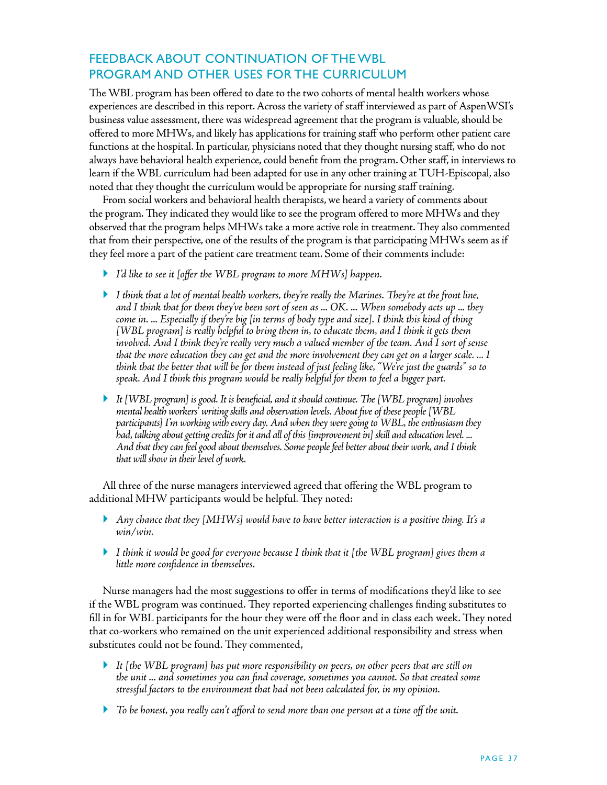## Feedback about Continuation of the WBL Program and Other Uses for the Curriculum

The WBL program has been offered to date to the two cohorts of mental health workers whose experiences are described in this report. Across the variety of staff interviewed as part of AspenWSI's business value assessment, there was widespread agreement that the program is valuable, should be offered to more MHWs, and likely has applications for training staff who perform other patient care functions at the hospital. In particular, physicians noted that they thought nursing staff, who do not always have behavioral health experience, could benefit from the program. Other staff, in interviews to learn if the WBL curriculum had been adapted for use in any other training at TUH-Episcopal, also noted that they thought the curriculum would be appropriate for nursing staff training.

From social workers and behavioral health therapists, we heard a variety of comments about the program. They indicated they would like to see the program offered to more MHWs and they observed that the program helps MHWs take a more active role in treatment. They also commented that from their perspective, one of the results of the program is that participating MHWs seem as if they feel more a part of the patient care treatment team. Some of their comments include:

- *I'd like to see it [offer the WBL program to more MHWs] happen.*
- *I think that a lot of mental health workers, they're really the Marines. They're at the front line, and I think that for them they've been sort of seen as ... OK. ... When somebody acts up ... they come in. ... Especially if they're big [in terms of body type and size]. I think this kind of thing [WBL program] is really helpful to bring them in, to educate them, and I think it gets them involved. And I think they're really very much a valued member of the team. And I sort of sense that the more education they can get and the more involvement they can get on a larger scale. ... I think that the better that will be for them instead of just feeling like, "We're just the guards" so to speak. And I think this program would be really helpful for them to feel a bigger part.*
- *It [WBL program] is good. It is beneficial, and it should continue. The [WBL program] involves mental health workers' writing skills and observation levels. About five of these people [WBL participants] I'm working with every day. And when they were going to WBL, the enthusiasm they had, talking about getting credits for it and all of this [improvement in] skill and education level. ... And that they can feel good about themselves. Some people feel better about their work, and I think that will show in their level of work.*

All three of the nurse managers interviewed agreed that offering the WBL program to additional MHW participants would be helpful. They noted:

- *Any chance that they [MHWs] would have to have better interaction is a positive thing. It's a win/win.*
- *I think it would be good for everyone because I think that it [the WBL program] gives them a little more confidence in themselves.*

Nurse managers had the most suggestions to offer in terms of modifications they'd like to see if the WBL program was continued. They reported experiencing challenges finding substitutes to fill in for WBL participants for the hour they were off the floor and in class each week. They noted that co-workers who remained on the unit experienced additional responsibility and stress when substitutes could not be found. They commented,

- *It [the WBL program] has put more responsibility on peers, on other peers that are still on the unit ... and sometimes you can find coverage, sometimes you cannot. So that created some stressful factors to the environment that had not been calculated for, in my opinion.*
- *To be honest, you really can't afford to send more than one person at a time off the unit.*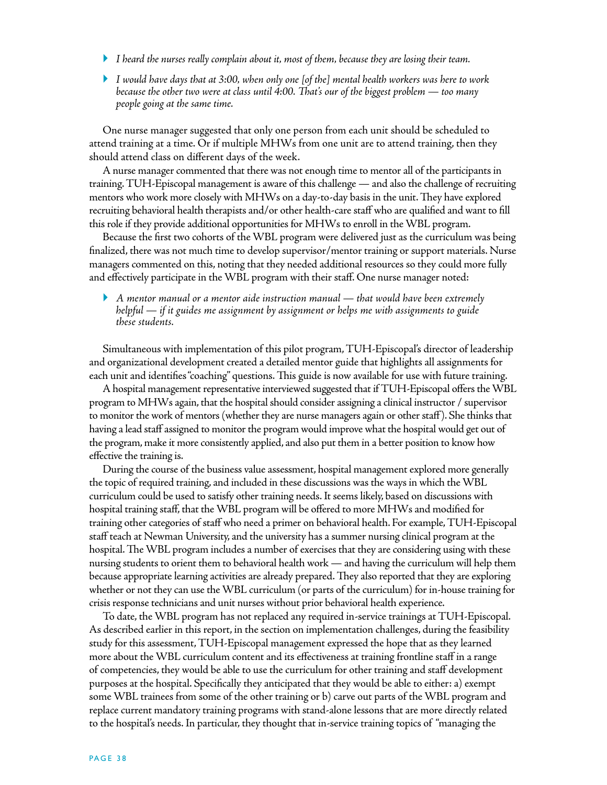- *I heard the nurses really complain about it, most of them, because they are losing their team.*
- *I would have days that at 3:00, when only one [of the] mental health workers was here to work because the other two were at class until 4:00. That's our of the biggest problem — too many people going at the same time.*

One nurse manager suggested that only one person from each unit should be scheduled to attend training at a time. Or if multiple MHWs from one unit are to attend training, then they should attend class on different days of the week.

A nurse manager commented that there was not enough time to mentor all of the participants in training. TUH-Episcopal management is aware of this challenge — and also the challenge of recruiting mentors who work more closely with MHWs on a day-to-day basis in the unit. They have explored recruiting behavioral health therapists and/or other health-care staff who are qualified and want to fill this role if they provide additional opportunities for MHWs to enroll in the WBL program.

Because the first two cohorts of the WBL program were delivered just as the curriculum was being finalized, there was not much time to develop supervisor/mentor training or support materials. Nurse managers commented on this, noting that they needed additional resources so they could more fully and effectively participate in the WBL program with their staff. One nurse manager noted:

 *A mentor manual or a mentor aide instruction manual — that would have been extremely helpful — if it guides me assignment by assignment or helps me with assignments to guide these students.*

Simultaneous with implementation of this pilot program, TUH-Episcopal's director of leadership and organizational development created a detailed mentor guide that highlights all assignments for each unit and identifies "coaching" questions. This guide is now available for use with future training.

A hospital management representative interviewed suggested that if TUH-Episcopal offers the WBL program to MHWs again, that the hospital should consider assigning a clinical instructor / supervisor to monitor the work of mentors (whether they are nurse managers again or other staff ). She thinks that having a lead staff assigned to monitor the program would improve what the hospital would get out of the program, make it more consistently applied, and also put them in a better position to know how effective the training is.

During the course of the business value assessment, hospital management explored more generally the topic of required training, and included in these discussions was the ways in which the WBL curriculum could be used to satisfy other training needs. It seems likely, based on discussions with hospital training staff, that the WBL program will be offered to more MHWs and modified for training other categories of staff who need a primer on behavioral health. For example, TUH-Episcopal staff teach at Newman University, and the university has a summer nursing clinical program at the hospital. The WBL program includes a number of exercises that they are considering using with these nursing students to orient them to behavioral health work — and having the curriculum will help them because appropriate learning activities are already prepared. They also reported that they are exploring whether or not they can use the WBL curriculum (or parts of the curriculum) for in-house training for crisis response technicians and unit nurses without prior behavioral health experience.

To date, the WBL program has not replaced any required in-service trainings at TUH-Episcopal. As described earlier in this report, in the section on implementation challenges, during the feasibility study for this assessment, TUH-Episcopal management expressed the hope that as they learned more about the WBL curriculum content and its effectiveness at training frontline staff in a range of competencies, they would be able to use the curriculum for other training and staff development purposes at the hospital. Specifically they anticipated that they would be able to either: a) exempt some WBL trainees from some of the other training or b) carve out parts of the WBL program and replace current mandatory training programs with stand-alone lessons that are more directly related to the hospital's needs. In particular, they thought that in-service training topics of "managing the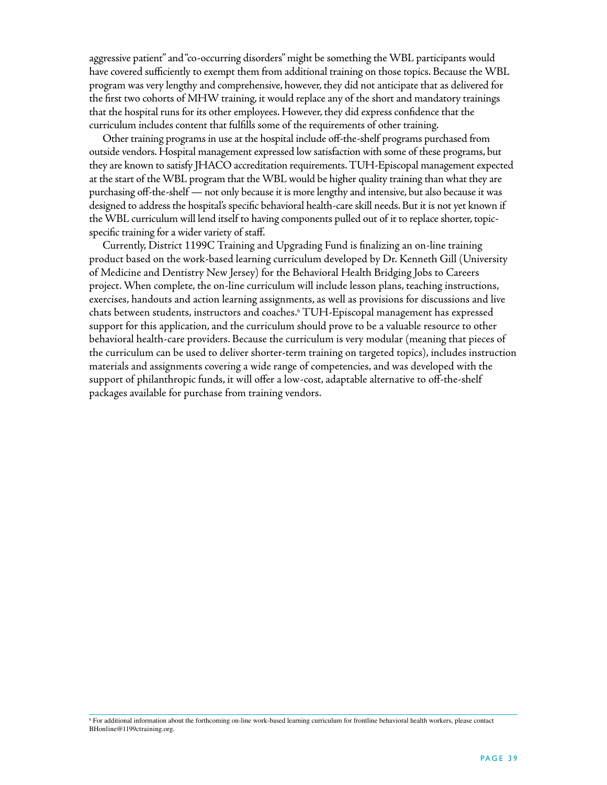aggressive patient" and "co-occurring disorders" might be something the WBL participants would have covered sufficiently to exempt them from additional training on those topics. Because the WBL program was very lengthy and comprehensive, however, they did not anticipate that as delivered for the first two cohorts of MHW training, it would replace any of the short and mandatory trainings that the hospital runs for its other employees. However, they did express confidence that the curriculum includes content that fulfills some of the requirements of other training.

Other training programs in use at the hospital include off-the-shelf programs purchased from outside vendors. Hospital management expressed low satisfaction with some of these programs, but they are known to satisfy JHACO accreditation requirements. TUH-Episcopal management expected at the start of the WBL program that the WBL would be higher quality training than what they are purchasing off-the-shelf — not only because it is more lengthy and intensive, but also because it was designed to address the hospital's specific behavioral health-care skill needs. But it is not yet known if the WBL curriculum will lend itself to having components pulled out of it to replace shorter, topicspecific training for a wider variety of staff.

Currently, District 1199C Training and Upgrading Fund is finalizing an on-line training product based on the work-based learning curriculum developed by Dr. Kenneth Gill (University of Medicine and Dentistry New Jersey) for the Behavioral Health Bridging Jobs to Careers project. When complete, the on-line curriculum will include lesson plans, teaching instructions, exercises, handouts and action learning assignments, as well as provisions for discussions and live chats between students, instructors and coaches.6 TUH-Episcopal management has expressed support for this application, and the curriculum should prove to be a valuable resource to other behavioral health-care providers. Because the curriculum is very modular (meaning that pieces of the curriculum can be used to deliver shorter-term training on targeted topics), includes instruction materials and assignments covering a wide range of competencies, and was developed with the support of philanthropic funds, it will offer a low-cost, adaptable alternative to off-the-shelf packages available for purchase from training vendors.

<sup>6</sup> For additional information about the forthcoming on-line work-based learning curriculum for frontline behavioral health workers, please contact BHonline@1199ctraining.org.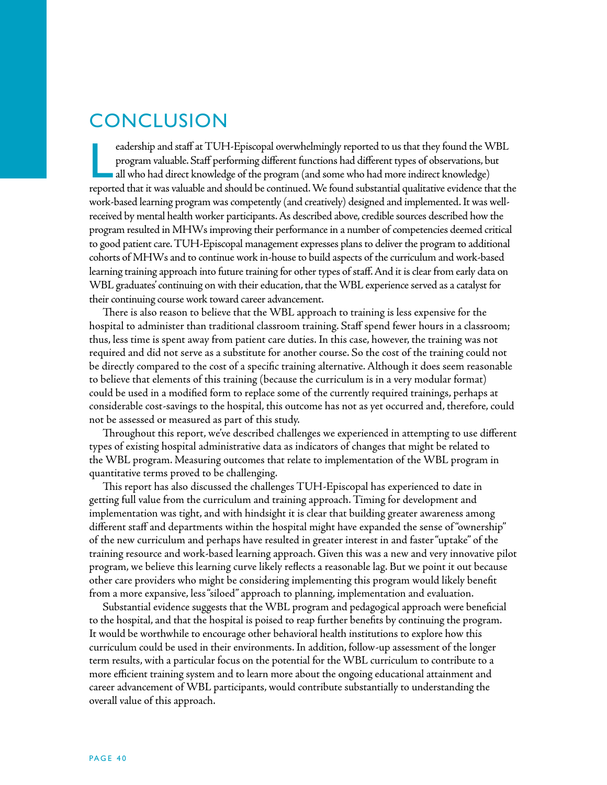## **CONCLUSION**

<u>L</u> eadership and staff at TUH-Episcopal overwhelmingly reported to us that they found the WBL program valuable. Staff performing different functions had different types of observations, but  $\blacksquare$  all who had direct knowledge of the program (and some who had more indirect knowledge) reported that it was valuable and should be continued. We found substantial qualitative evidence that the work-based learning program was competently (and creatively) designed and implemented. It was wellreceived by mental health worker participants. As described above, credible sources described how the program resulted in MHWs improving their performance in a number of competencies deemed critical to good patient care. TUH-Episcopal management expresses plans to deliver the program to additional cohorts of MHWs and to continue work in-house to build aspects of the curriculum and work-based learning training approach into future training for other types of staff. And it is clear from early data on WBL graduates' continuing on with their education, that the WBL experience served as a catalyst for their continuing course work toward career advancement.

There is also reason to believe that the WBL approach to training is less expensive for the hospital to administer than traditional classroom training. Staff spend fewer hours in a classroom; thus, less time is spent away from patient care duties. In this case, however, the training was not required and did not serve as a substitute for another course. So the cost of the training could not be directly compared to the cost of a specific training alternative. Although it does seem reasonable to believe that elements of this training (because the curriculum is in a very modular format) could be used in a modified form to replace some of the currently required trainings, perhaps at considerable cost-savings to the hospital, this outcome has not as yet occurred and, therefore, could not be assessed or measured as part of this study.

Throughout this report, we've described challenges we experienced in attempting to use different types of existing hospital administrative data as indicators of changes that might be related to the WBL program. Measuring outcomes that relate to implementation of the WBL program in quantitative terms proved to be challenging.

This report has also discussed the challenges TUH-Episcopal has experienced to date in getting full value from the curriculum and training approach. Timing for development and implementation was tight, and with hindsight it is clear that building greater awareness among different staff and departments within the hospital might have expanded the sense of "ownership" of the new curriculum and perhaps have resulted in greater interest in and faster "uptake" of the training resource and work-based learning approach. Given this was a new and very innovative pilot program, we believe this learning curve likely reflects a reasonable lag. But we point it out because other care providers who might be considering implementing this program would likely benefit from a more expansive, less "siloed" approach to planning, implementation and evaluation.

Substantial evidence suggests that the WBL program and pedagogical approach were beneficial to the hospital, and that the hospital is poised to reap further benefits by continuing the program. It would be worthwhile to encourage other behavioral health institutions to explore how this curriculum could be used in their environments. In addition, follow-up assessment of the longer term results, with a particular focus on the potential for the WBL curriculum to contribute to a more efficient training system and to learn more about the ongoing educational attainment and career advancement of WBL participants, would contribute substantially to understanding the overall value of this approach.